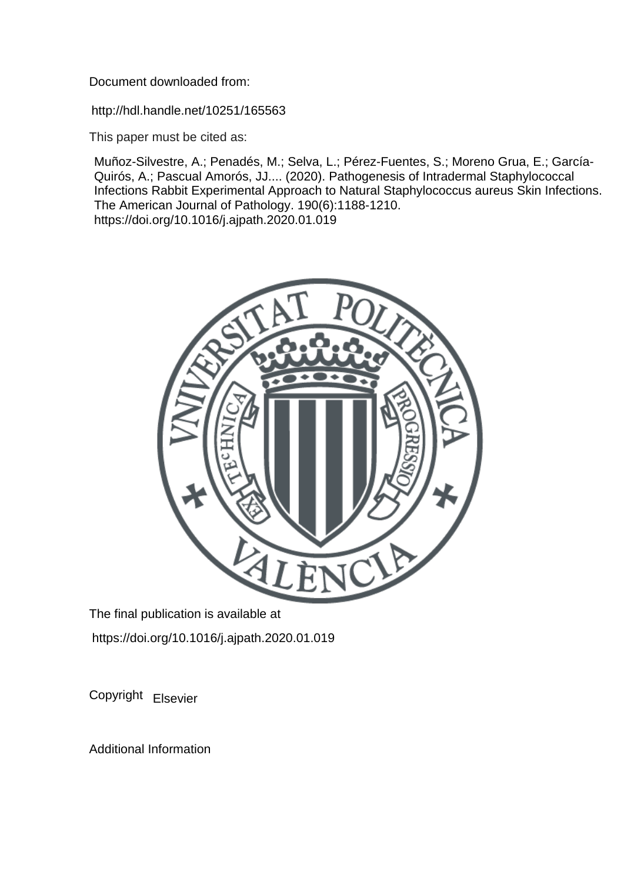Document downloaded from:

http://hdl.handle.net/10251/165563

This paper must be cited as:

Muñoz-Silvestre, A.; Penadés, M.; Selva, L.; Pérez-Fuentes, S.; Moreno Grua, E.; García-Quirós, A.; Pascual Amorós, JJ.... (2020). Pathogenesis of Intradermal Staphylococcal Infections Rabbit Experimental Approach to Natural Staphylococcus aureus Skin Infections. The American Journal of Pathology. 190(6):1188-1210. https://doi.org/10.1016/j.ajpath.2020.01.019



The final publication is available at https://doi.org/10.1016/j.ajpath.2020.01.019

Copyright Elsevier

Additional Information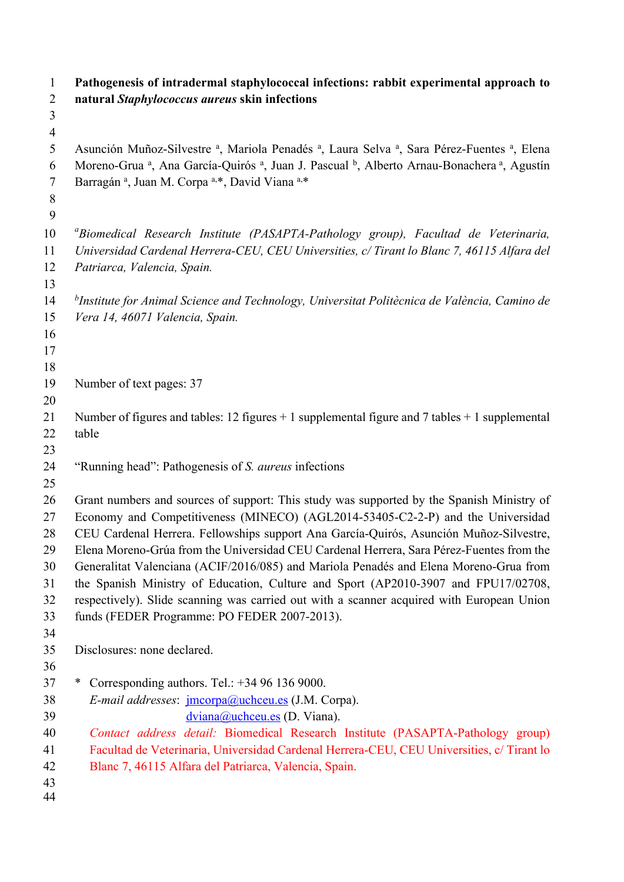| $\mathbf{1}$<br>$\overline{2}$ | Pathogenesis of intradermal staphylococcal infections: rabbit experimental approach to<br>natural Staphylococcus aureus skin infections                                                                                                |
|--------------------------------|----------------------------------------------------------------------------------------------------------------------------------------------------------------------------------------------------------------------------------------|
| 3                              |                                                                                                                                                                                                                                        |
| $\overline{4}$                 |                                                                                                                                                                                                                                        |
| 5<br>6                         | Asunción Muñoz-Silvestre a, Mariola Penadés a, Laura Selva a, Sara Pérez-Fuentes a, Elena<br>Moreno-Grua <sup>a</sup> , Ana García-Quirós <sup>a</sup> , Juan J. Pascual <sup>b</sup> , Alberto Arnau-Bonachera <sup>a</sup> , Agustín |
| 7                              | Barragán <sup>a</sup> , Juan M. Corpa <sup>a,*</sup> , David Viana <sup>a,*</sup>                                                                                                                                                      |
| 8                              |                                                                                                                                                                                                                                        |
| 9                              |                                                                                                                                                                                                                                        |
| 10                             | "Biomedical Research Institute (PASAPTA-Pathology group), Facultad de Veterinaria,                                                                                                                                                     |
| 11                             | Universidad Cardenal Herrera-CEU, CEU Universities, c/ Tirant lo Blanc 7, 46115 Alfara del                                                                                                                                             |
| 12                             | Patriarca, Valencia, Spain.                                                                                                                                                                                                            |
| 13                             |                                                                                                                                                                                                                                        |
| 14                             | <sup>b</sup> Institute for Animal Science and Technology, Universitat Politècnica de València, Camino de                                                                                                                               |
| 15                             | Vera 14, 46071 Valencia, Spain.                                                                                                                                                                                                        |
| 16                             |                                                                                                                                                                                                                                        |
| 17                             |                                                                                                                                                                                                                                        |
| 18                             |                                                                                                                                                                                                                                        |
| 19                             | Number of text pages: 37                                                                                                                                                                                                               |
| 20                             | Number of figures and tables: 12 figures $+1$ supplemental figure and 7 tables $+1$ supplemental                                                                                                                                       |
| 21<br>22                       | table                                                                                                                                                                                                                                  |
| 23                             |                                                                                                                                                                                                                                        |
| 24                             | "Running head": Pathogenesis of S. aureus infections                                                                                                                                                                                   |
| 25                             |                                                                                                                                                                                                                                        |
| 26                             | Grant numbers and sources of support: This study was supported by the Spanish Ministry of                                                                                                                                              |
| 27                             | Economy and Competitiveness (MINECO) (AGL2014-53405-C2-2-P) and the Universidad                                                                                                                                                        |
| 28                             | CEU Cardenal Herrera. Fellowships support Ana García-Quirós, Asunción Muñoz-Silvestre,                                                                                                                                                 |
| 29                             | Elena Moreno-Grúa from the Universidad CEU Cardenal Herrera, Sara Pérez-Fuentes from the                                                                                                                                               |
| 30                             | Generalitat Valenciana (ACIF/2016/085) and Mariola Penadés and Elena Moreno-Grua from                                                                                                                                                  |
| 31                             | the Spanish Ministry of Education, Culture and Sport (AP2010-3907 and FPU17/02708,                                                                                                                                                     |
| 32                             | respectively). Slide scanning was carried out with a scanner acquired with European Union                                                                                                                                              |
| 33                             | funds (FEDER Programme: PO FEDER 2007-2013).                                                                                                                                                                                           |
| 34                             |                                                                                                                                                                                                                                        |
| 35                             | Disclosures: none declared.                                                                                                                                                                                                            |
| 36                             |                                                                                                                                                                                                                                        |
| 37<br>38                       | Corresponding authors. Tel.: $+34961369000$ .<br>∗                                                                                                                                                                                     |
| 39                             | E-mail addresses: <i>jmcorpa@uchceu.es</i> (J.M. Corpa).<br>$\frac{dviana(a)$ uchceu.es (D. Viana).                                                                                                                                    |
| 40                             | Contact address detail: Biomedical Research Institute (PASAPTA-Pathology group)                                                                                                                                                        |
| 41                             | Facultad de Veterinaria, Universidad Cardenal Herrera-CEU, CEU Universities, c/ Tirant lo                                                                                                                                              |
| 42                             | Blanc 7, 46115 Alfara del Patriarca, Valencia, Spain.                                                                                                                                                                                  |
| 43                             |                                                                                                                                                                                                                                        |
| 44                             |                                                                                                                                                                                                                                        |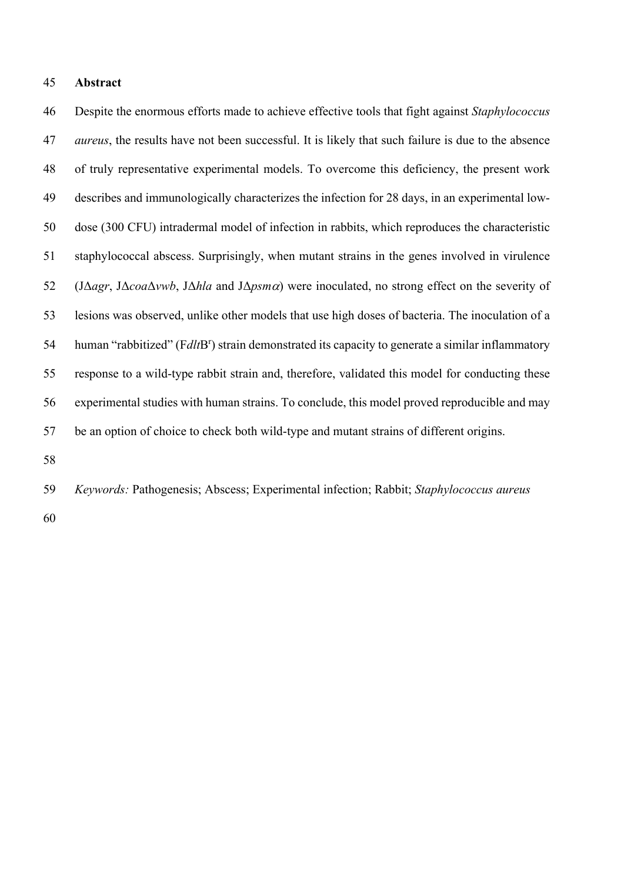# **Abstract**

 Despite the enormous efforts made to achieve effective tools that fight against *Staphylococcus aureus*, the results have not been successful. It is likely that such failure is due to the absence of truly representative experimental models. To overcome this deficiency, the present work describes and immunologically characterizes the infection for 28 days, in an experimental low- dose (300 CFU) intradermal model of infection in rabbits, which reproduces the characteristic staphylococcal abscess. Surprisingly, when mutant strains in the genes involved in virulence (JΔ*agr*, JΔ*coa*Δ*vwb*, JΔ*hla* and JΔ*psm*a) were inoculated, no strong effect on the severity of lesions was observed, unlike other models that use high doses of bacteria. The inoculation of a 54 human "rabbitized" (F*dlt*B<sup>r</sup>) strain demonstrated its capacity to generate a similar inflammatory response to a wild-type rabbit strain and, therefore, validated this model for conducting these experimental studies with human strains. To conclude, this model proved reproducible and may be an option of choice to check both wild-type and mutant strains of different origins.

- 
- *Keywords:* Pathogenesis; Abscess; Experimental infection; Rabbit; *Staphylococcus aureus*
-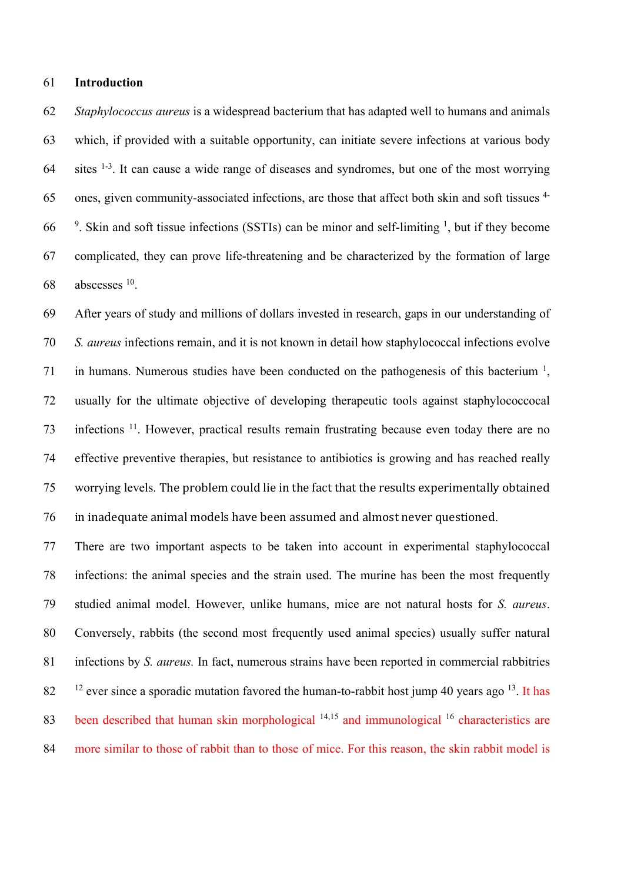#### **Introduction**

 *Staphylococcus aureus* is a widespread bacterium that has adapted well to humans and animals which, if provided with a suitable opportunity, can initiate severe infections at various body sites  $1-3$ . It can cause a wide range of diseases and syndromes, but one of the most worrying 65 ones, given community-associated infections, are those that affect both skin and soft tissues <sup>4-</sup> <sup>9</sup>. Skin and soft tissue infections (SSTIs) can be minor and self-limiting <sup>1</sup>, but if they become complicated, they can prove life-threatening and be characterized by the formation of large abscesses  $10$ .

 After years of study and millions of dollars invested in research, gaps in our understanding of *S. aureus* infections remain, and it is not known in detail how staphylococcal infections evolve 71 in humans. Numerous studies have been conducted on the pathogenesis of this bacterium  $\frac{1}{2}$ , usually for the ultimate objective of developing therapeutic tools against staphylococcocal 73 infections <sup>11</sup>. However, practical results remain frustrating because even today there are no effective preventive therapies, but resistance to antibiotics is growing and has reached really 75 worrying levels. The problem could lie in the fact that the results experimentally obtained 76 in inadequate animal models have been assumed and almost never questioned.

 There are two important aspects to be taken into account in experimental staphylococcal infections: the animal species and the strain used. The murine has been the most frequently studied animal model. However, unlike humans, mice are not natural hosts for *S. aureus*. Conversely, rabbits (the second most frequently used animal species) usually suffer natural infections by *S. aureus.* In fact, numerous strains have been reported in commercial rabbitries ever since a sporadic mutation favored the human-to-rabbit host jump 40 years ago <sup>13</sup>. It has 83 been described that human skin morphological  $14,15$  and immunological  $16$  characteristics are more similar to those of rabbit than to those of mice. For this reason, the skin rabbit model is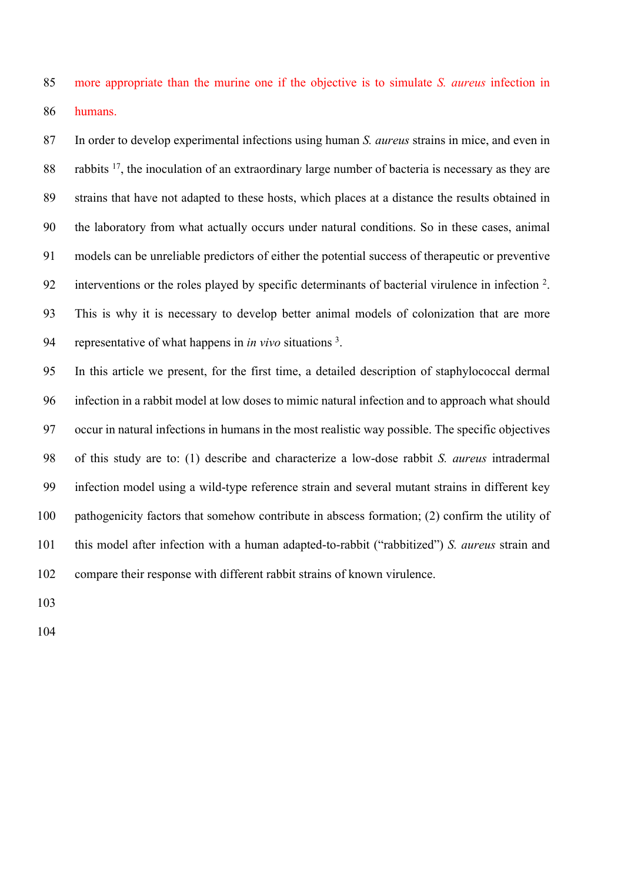more appropriate than the murine one if the objective is to simulate *S. aureus* infection in humans.

 In order to develop experimental infections using human *S. aureus* strains in mice, and even in 88 rabbits , the inoculation of an extraordinary large number of bacteria is necessary as they are strains that have not adapted to these hosts, which places at a distance the results obtained in the laboratory from what actually occurs under natural conditions. So in these cases, animal models can be unreliable predictors of either the potential success of therapeutic or preventive 92 interventions or the roles played by specific determinants of bacterial virulence in infection <sup>2</sup>. This is why it is necessary to develop better animal models of colonization that are more 94 representative of what happens in *in vivo* situations<sup>3</sup>.

 In this article we present, for the first time, a detailed description of staphylococcal dermal infection in a rabbit model at low doses to mimic natural infection and to approach what should occur in natural infections in humans in the most realistic way possible. The specific objectives of this study are to: (1) describe and characterize a low-dose rabbit *S. aureus* intradermal infection model using a wild-type reference strain and several mutant strains in different key pathogenicity factors that somehow contribute in abscess formation; (2) confirm the utility of this model after infection with a human adapted-to-rabbit ("rabbitized") *S. aureus* strain and compare their response with different rabbit strains of known virulence.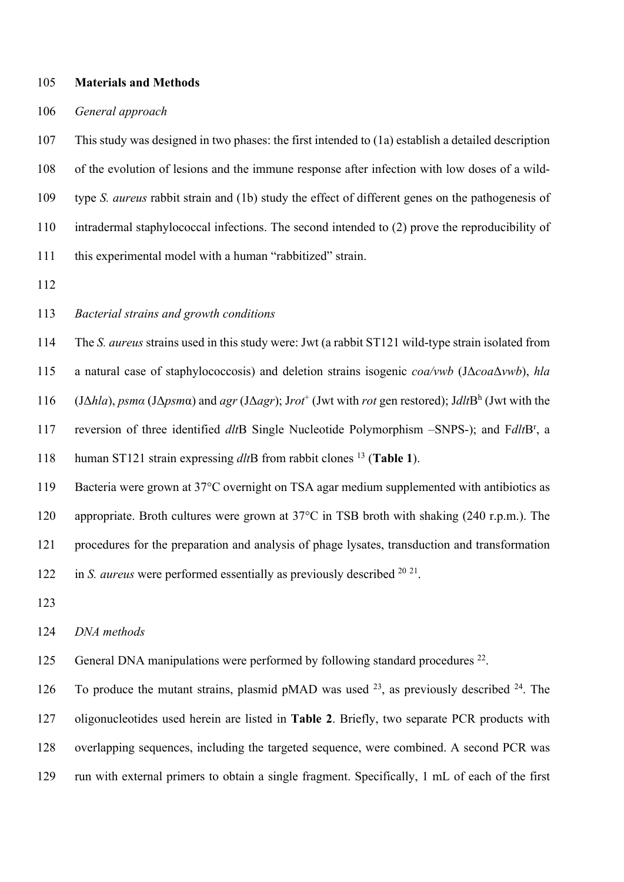#### **Materials and Methods**

# *General approach*

 This study was designed in two phases: the first intended to (1a) establish a detailed description of the evolution of lesions and the immune response after infection with low doses of a wild- type *S. aureus* rabbit strain and (1b) study the effect of different genes on the pathogenesis of intradermal staphylococcal infections. The second intended to (2) prove the reproducibility of this experimental model with a human "rabbitized" strain.

## *Bacterial strains and growth conditions*

The *S. aureus* strains used in this study were: Jwt (a rabbit ST121 wild-type strain isolated from

a natural case of staphylococcosis) and deletion strains isogenic *coa/vwb* (JΔ*coa*Δ*vwb*), *hla*

(JΔ*hla*), *psmα* (JΔ*psmα*) and *agr* (JΔ*agr*); Jrot<sup>+</sup> (Jwt with *rot* gen restored); JdltB<sup>h</sup> (Jwt with the

117 reversion of three identified *dlt*B Single Nucleotide Polymorphism –SNPS-); and F*dlt*B<sup>r</sup>, a

118 human ST121 strain expressing *dltB* from rabbit clones <sup>13</sup> (Table 1).

 Bacteria were grown at 37°C overnight on TSA agar medium supplemented with antibiotics as appropriate. Broth cultures were grown at 37°C in TSB broth with shaking (240 r.p.m.). The procedures for the preparation and analysis of phage lysates, transduction and transformation 122 in *S. aureus* were performed essentially as previously described <sup>20 21</sup>.

#### *DNA methods*

125 General DNA manipulations were performed by following standard procedures .

126 To produce the mutant strains, plasmid pMAD was used , as previously described  $24$ . The oligonucleotides used herein are listed in **Table 2**. Briefly, two separate PCR products with overlapping sequences, including the targeted sequence, were combined. A second PCR was run with external primers to obtain a single fragment. Specifically, 1 mL of each of the first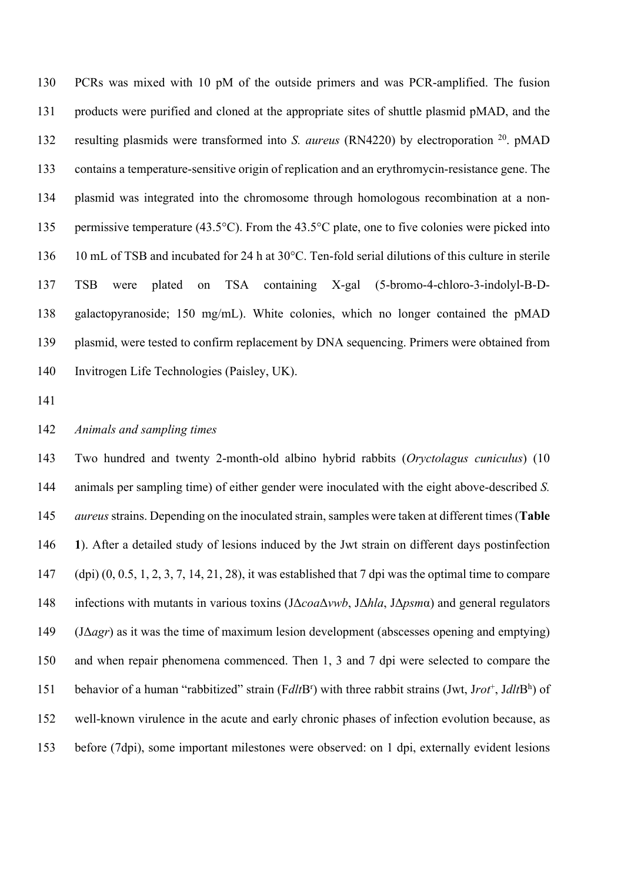PCRs was mixed with 10 pM of the outside primers and was PCR-amplified. The fusion products were purified and cloned at the appropriate sites of shuttle plasmid pMAD, and the 132 resulting plasmids were transformed into *S. aureus* (RN4220) by electroporation <sup>20</sup> pMAD contains a temperature-sensitive origin of replication and an erythromycin-resistance gene. The plasmid was integrated into the chromosome through homologous recombination at a non-135 permissive temperature (43.5°C). From the 43.5°C plate, one to five colonies were picked into 10 mL of TSB and incubated for 24 h at 30°C. Ten-fold serial dilutions of this culture in sterile TSB were plated on TSA containing X-gal (5-bromo-4-chloro-3-indolyl-B-D- galactopyranoside; 150 mg/mL). White colonies, which no longer contained the pMAD plasmid, were tested to confirm replacement by DNA sequencing. Primers were obtained from Invitrogen Life Technologies (Paisley, UK).

# *Animals and sampling times*

 Two hundred and twenty 2-month-old albino hybrid rabbits (*Oryctolagus cuniculus*) (10 animals per sampling time) of either gender were inoculated with the eight above-described *S. aureus*strains. Depending on the inoculated strain, samples were taken at different times (**Table 1**). After a detailed study of lesions induced by the Jwt strain on different days postinfection (dpi) (0, 0.5, 1, 2, 3, 7, 14, 21, 28), it was established that 7 dpi was the optimal time to compare infections with mutants in various toxins (JΔ*coa*Δ*vwb*, JΔ*hla*, JΔ*psm*α) and general regulators (JΔ*agr*) as it was the time of maximum lesion development (abscesses opening and emptying) and when repair phenomena commenced. Then 1, 3 and 7 dpi were selected to compare the 151 behavior of a human "rabbitized" strain (FdltB<sup>r</sup>) with three rabbit strains (Jwt, Jrot<sup>+</sup>, JdltB<sup>h</sup>) of well-known virulence in the acute and early chronic phases of infection evolution because, as before (7dpi), some important milestones were observed: on 1 dpi, externally evident lesions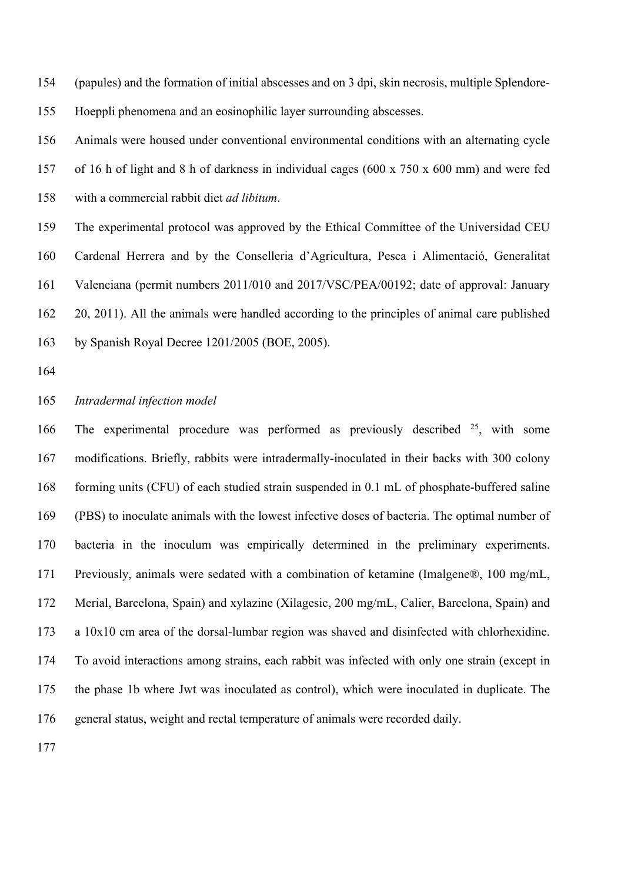(papules) and the formation of initial abscesses and on 3 dpi, skin necrosis, multiple Splendore-Hoeppli phenomena and an eosinophilic layer surrounding abscesses.

 Animals were housed under conventional environmental conditions with an alternating cycle of 16 h of light and 8 h of darkness in individual cages (600 x 750 x 600 mm) and were fed with a commercial rabbit diet *ad libitum*.

 The experimental protocol was approved by the Ethical Committee of the Universidad CEU Cardenal Herrera and by the Conselleria d'Agricultura, Pesca i Alimentació, Generalitat Valenciana (permit numbers 2011/010 and 2017/VSC/PEA/00192; date of approval: January 20, 2011). All the animals were handled according to the principles of animal care published by Spanish Royal Decree 1201/2005 (BOE, 2005).

## *Intradermal infection model*

166 The experimental procedure was performed as previously described , with some modifications. Briefly, rabbits were intradermally-inoculated in their backs with 300 colony forming units (CFU) of each studied strain suspended in 0.1 mL of phosphate-buffered saline (PBS) to inoculate animals with the lowest infective doses of bacteria. The optimal number of bacteria in the inoculum was empirically determined in the preliminary experiments. Previously, animals were sedated with a combination of ketamine (Imalgene®, 100 mg/mL, Merial, Barcelona, Spain) and xylazine (Xilagesic, 200 mg/mL, Calier, Barcelona, Spain) and a 10x10 cm area of the dorsal-lumbar region was shaved and disinfected with chlorhexidine. To avoid interactions among strains, each rabbit was infected with only one strain (except in the phase 1b where Jwt was inoculated as control), which were inoculated in duplicate. The general status, weight and rectal temperature of animals were recorded daily.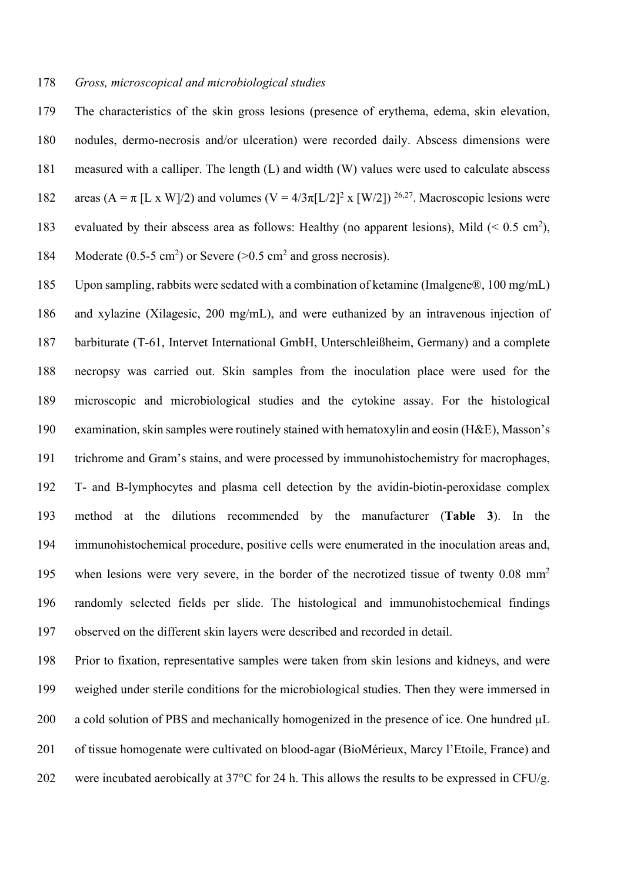#### *Gross, microscopical and microbiological studies*

 The characteristics of the skin gross lesions (presence of erythema, edema, skin elevation, nodules, dermo-necrosis and/or ulceration) were recorded daily. Abscess dimensions were measured with a calliper. The length (L) and width (W) values were used to calculate abscess 182 areas (A =  $\pi$  [L x W]/2) and volumes (V = 4/3 $\pi$ [L/2]<sup>2</sup> x [W/2])<sup>26,27</sup>. Macroscopic lesions were 183 evaluated by their abscess area as follows: Healthy (no apparent lesions), Mild  $(< 0.5 \text{ cm}^2)$ , 184 Moderate (0.5-5 cm<sup>2</sup>) or Severe ( $> 0.5$  cm<sup>2</sup> and gross necrosis).

 Upon sampling, rabbits were sedated with a combination of ketamine (Imalgene®, 100 mg/mL) and xylazine (Xilagesic, 200 mg/mL), and were euthanized by an intravenous injection of barbiturate (T-61, Intervet International GmbH, Unterschleißheim, Germany) and a complete necropsy was carried out. Skin samples from the inoculation place were used for the microscopic and microbiological studies and the cytokine assay. For the histological examination, skin samples were routinely stained with hematoxylin and eosin (H&E), Masson's trichrome and Gram's stains, and were processed by immunohistochemistry for macrophages, T- and B-lymphocytes and plasma cell detection by the avidin-biotin-peroxidase complex method at the dilutions recommended by the manufacturer (**Table 3**). In the immunohistochemical procedure, positive cells were enumerated in the inoculation areas and, 195 when lesions were very severe, in the border of the necrotized tissue of twenty 0.08 mm<sup>2</sup> randomly selected fields per slide. The histological and immunohistochemical findings observed on the different skin layers were described and recorded in detail.

 Prior to fixation, representative samples were taken from skin lesions and kidneys, and were weighed under sterile conditions for the microbiological studies. Then they were immersed in 200 a cold solution of PBS and mechanically homogenized in the presence of ice. One hundred  $\mu$ L of tissue homogenate were cultivated on blood-agar (BioMérieux, Marcy l'Etoile, France) and 202 were incubated aerobically at 37°C for 24 h. This allows the results to be expressed in CFU/g.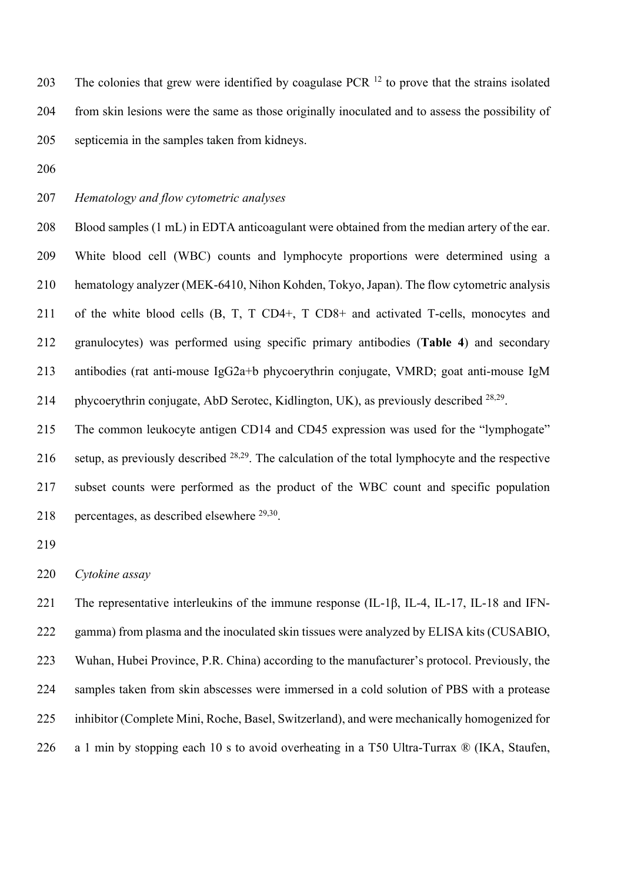203 The colonies that grew were identified by coagulase PCR  $^{12}$  to prove that the strains isolated from skin lesions were the same as those originally inoculated and to assess the possibility of septicemia in the samples taken from kidneys.

# *Hematology and flow cytometric analyses*

 Blood samples (1 mL) in EDTA anticoagulant were obtained from the median artery of the ear. White blood cell (WBC) counts and lymphocyte proportions were determined using a hematology analyzer (MEK-6410, Nihon Kohden, Tokyo, Japan). The flow cytometric analysis of the white blood cells (B, T, T CD4+, T CD8+ and activated T-cells, monocytes and granulocytes) was performed using specific primary antibodies (**Table 4**) and secondary antibodies (rat anti-mouse IgG2a+b phycoerythrin conjugate, VMRD; goat anti-mouse IgM 214 phycoerythrin conjugate, AbD Serotec, Kidlington, UK), as previously described  $28,29$ .

 The common leukocyte antigen CD14 and CD45 expression was used for the "lymphogate" 216 setup, as previously described  $28,29$ . The calculation of the total lymphocyte and the respective subset counts were performed as the product of the WBC count and specific population 218 percentages, as described elsewhere  $29,30$ .

# *Cytokine assay*

 The representative interleukins of the immune response (IL-1β, IL-4, IL-17, IL-18 and IFN- gamma) from plasma and the inoculated skin tissues were analyzed by ELISA kits (CUSABIO, Wuhan, Hubei Province, P.R. China) according to the manufacturer's protocol. Previously, the samples taken from skin abscesses were immersed in a cold solution of PBS with a protease inhibitor (Complete Mini, Roche, Basel, Switzerland), and were mechanically homogenized for a 1 min by stopping each 10 s to avoid overheating in a T50 Ultra-Turrax ® (IKA, Staufen,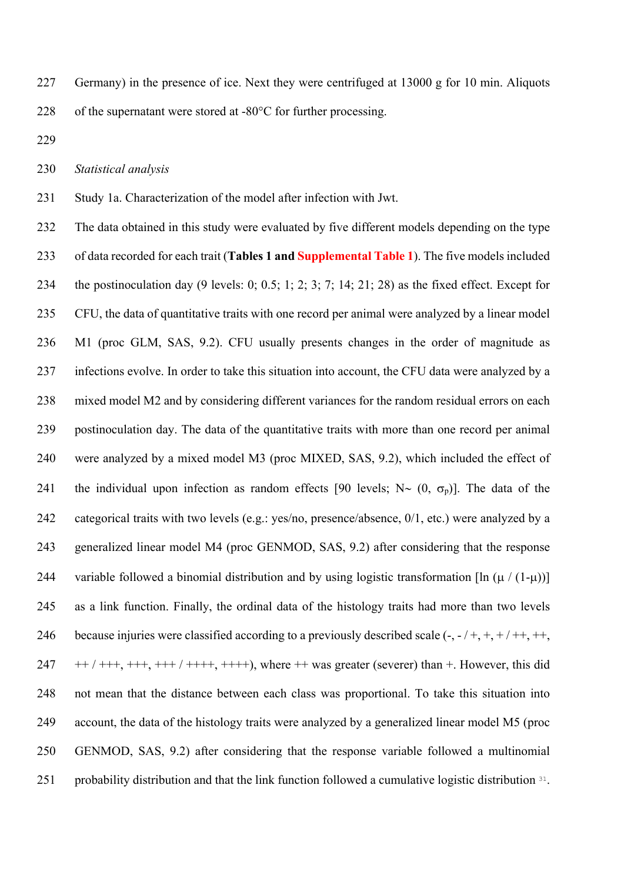227 Germany) in the presence of ice. Next they were centrifuged at g for 10 min. Aliquots 228 of the supernatant were stored at -80°C for further processing.

*Statistical analysis*

Study 1a. Characterization of the model after infection with Jwt.

 The data obtained in this study were evaluated by five different models depending on the type of data recorded for each trait (**Tables 1 and Supplemental Table 1**). The five models included the postinoculation day (9 levels: 0; 0.5; 1; 2; 3; 7; 14; 21; 28) as the fixed effect. Except for CFU, the data of quantitative traits with one record per animal were analyzed by a linear model M1 (proc GLM, SAS, 9.2). CFU usually presents changes in the order of magnitude as infections evolve. In order to take this situation into account, the CFU data were analyzed by a mixed model M2 and by considering different variances for the random residual errors on each postinoculation day. The data of the quantitative traits with more than one record per animal were analyzed by a mixed model M3 (proc MIXED, SAS, 9.2), which included the effect of 241 the individual upon infection as random effects [90 levels;  $N \sim (0, \sigma_p)$ ]. The data of the categorical traits with two levels (e.g.: yes/no, presence/absence, 0/1, etc.) were analyzed by a generalized linear model M4 (proc GENMOD, SAS, 9.2) after considering that the response 244 variable followed a binomial distribution and by using logistic transformation  $[\ln (\mu / (1-\mu))]$  as a link function. Finally, the ordinal data of the histology traits had more than two levels 246 because injuries were classified according to a previously described scale  $\left(\text{-, -} / \text{ +}, \text{ +}, + / \text{ ++}, +\text{, +}}\right)$  ++ / +++, +++, +++ / ++++, ++++), where ++ was greater (severer) than +. However, this did not mean that the distance between each class was proportional. To take this situation into account, the data of the histology traits were analyzed by a generalized linear model M5 (proc GENMOD, SAS, 9.2) after considering that the response variable followed a multinomial 251 probability distribution and that the link function followed a cumulative logistic distribution .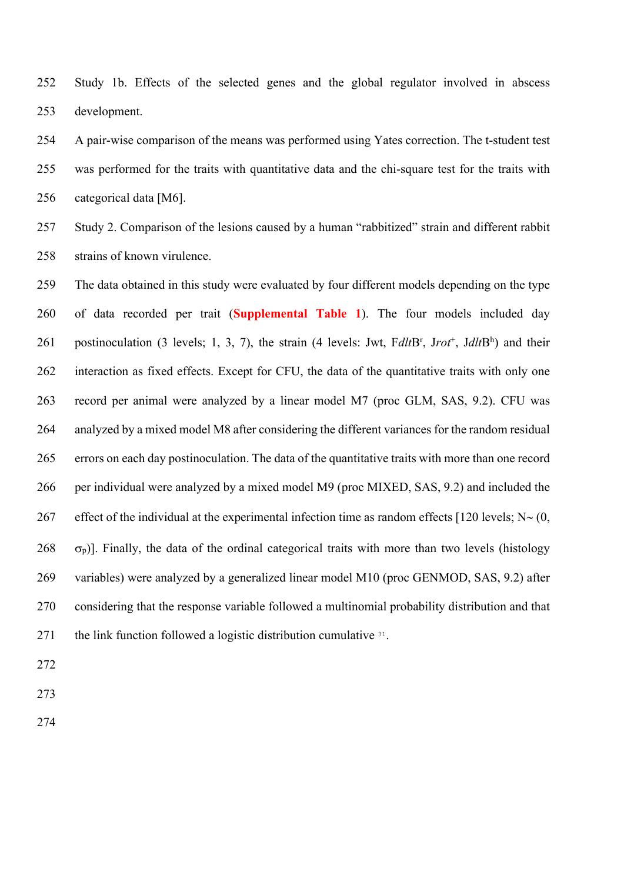Study 1b. Effects of the selected genes and the global regulator involved in abscess development.

 A pair-wise comparison of the means was performed using Yates correction. The t-student test was performed for the traits with quantitative data and the chi-square test for the traits with categorical data [M6].

 Study 2. Comparison of the lesions caused by a human "rabbitized" strain and different rabbit strains of known virulence.

 The data obtained in this study were evaluated by four different models depending on the type of data recorded per trait (**Supplemental Table 1**). The four models included day 261 postinoculation (3 levels; 1, 3, 7), the strain (4 levels: Jwt, FdltB<sup>r</sup>, Jrot<sup>+</sup>, JdltB<sup>h</sup>) and their interaction as fixed effects. Except for CFU, the data of the quantitative traits with only one record per animal were analyzed by a linear model M7 (proc GLM, SAS, 9.2). CFU was analyzed by a mixed model M8 after considering the different variances for the random residual errors on each day postinoculation. The data of the quantitative traits with more than one record per individual were analyzed by a mixed model M9 (proc MIXED, SAS, 9.2) and included the 267 effect of the individual at the experimental infection time as random effects [120 levels;  $N \sim (0, 1)$   $\sigma_p$ )]. Finally, the data of the ordinal categorical traits with more than two levels (histology variables) were analyzed by a generalized linear model M10 (proc GENMOD, SAS, 9.2) after considering that the response variable followed a multinomial probability distribution and that 271 the link function followed a logistic distribution cumulative .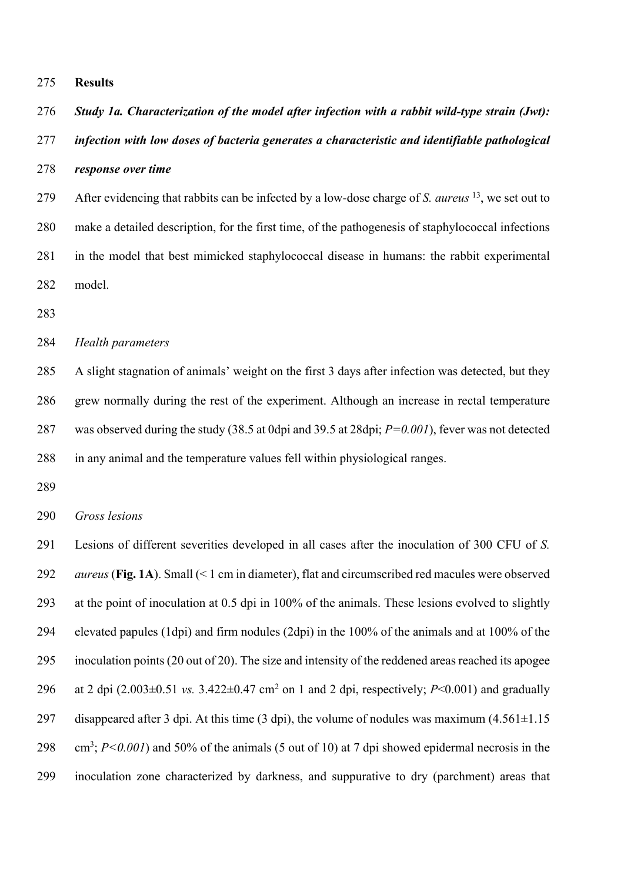**Results**

*Study 1a. Characterization of the model after infection with a rabbit wild-type strain (Jwt):* 

 *infection with low doses of bacteria generates a characteristic and identifiable pathological response over time*

279 After evidencing that rabbits can be infected by a low-dose charge of *S. aureus* <sup>13</sup>, we set out to make a detailed description, for the first time, of the pathogenesis of staphylococcal infections in the model that best mimicked staphylococcal disease in humans: the rabbit experimental model.

# *Health parameters*

 A slight stagnation of animals' weight on the first 3 days after infection was detected, but they grew normally during the rest of the experiment. Although an increase in rectal temperature was observed during the study (38.5 at 0dpi and 39.5 at 28dpi; *P=0.001*), fever was not detected in any animal and the temperature values fell within physiological ranges.

*Gross lesions*

 Lesions of different severities developed in all cases after the inoculation of 300 CFU of *S. aureus* (**Fig. 1A**). Small (< 1 cm in diameter), flat and circumscribed red macules were observed at the point of inoculation at 0.5 dpi in 100% of the animals. These lesions evolved to slightly elevated papules (1dpi) and firm nodules (2dpi) in the 100% of the animals and at 100% of the inoculation points (20 out of 20). The size and intensity of the reddened areas reached its apogee 296 at 2 dpi  $(2.003\pm0.51 \text{ vs. } 3.422\pm0.47 \text{ cm}^2 \text{ on } 1 \text{ and } 2 \text{ dpi}$ , respectively; *P*<0.001) and gradually 297 disappeared after 3 dpi. At this time  $(3 \text{ dpi})$ , the volume of nodules was maximum  $(4.561 \pm 1.15$  cm<sup>3</sup>;  $P < 0.001$ ) and 50% of the animals (5 out of 10) at 7 dpi showed epidermal necrosis in the inoculation zone characterized by darkness, and suppurative to dry (parchment) areas that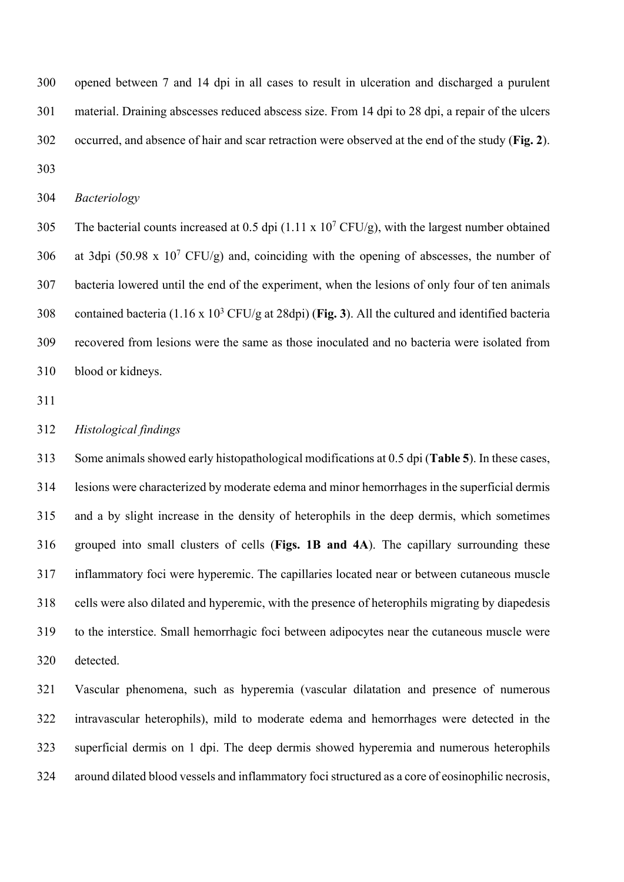opened between 7 and 14 dpi in all cases to result in ulceration and discharged a purulent material. Draining abscesses reduced abscess size. From 14 dpi to 28 dpi, a repair of the ulcers occurred, and absence of hair and scar retraction were observed at the end of the study (**Fig. 2**). 

*Bacteriology*

305 The bacterial counts increased at 0.5 dpi  $(1.11 \times 10^7 \text{ CFU/g})$ , with the largest number obtained 306 at 3dpi (50.98 x 10<sup>7</sup> CFU/g) and, coinciding with the opening of abscesses, the number of bacteria lowered until the end of the experiment, when the lesions of only four of ten animals 308 contained bacteria  $(1.16 \times 10^3 \text{ CFU/g at } 28 \text{dpi})$  (Fig. 3). All the cultured and identified bacteria recovered from lesions were the same as those inoculated and no bacteria were isolated from blood or kidneys.

# *Histological findings*

 Some animals showed early histopathological modifications at 0.5 dpi (**Table 5**). In these cases, lesions were characterized by moderate edema and minor hemorrhages in the superficial dermis and a by slight increase in the density of heterophils in the deep dermis, which sometimes grouped into small clusters of cells (**Figs. 1B and 4A**). The capillary surrounding these inflammatory foci were hyperemic. The capillaries located near or between cutaneous muscle cells were also dilated and hyperemic, with the presence of heterophils migrating by diapedesis to the interstice. Small hemorrhagic foci between adipocytes near the cutaneous muscle were detected.

 Vascular phenomena, such as hyperemia (vascular dilatation and presence of numerous intravascular heterophils), mild to moderate edema and hemorrhages were detected in the superficial dermis on 1 dpi. The deep dermis showed hyperemia and numerous heterophils around dilated blood vessels and inflammatory foci structured as a core of eosinophilic necrosis,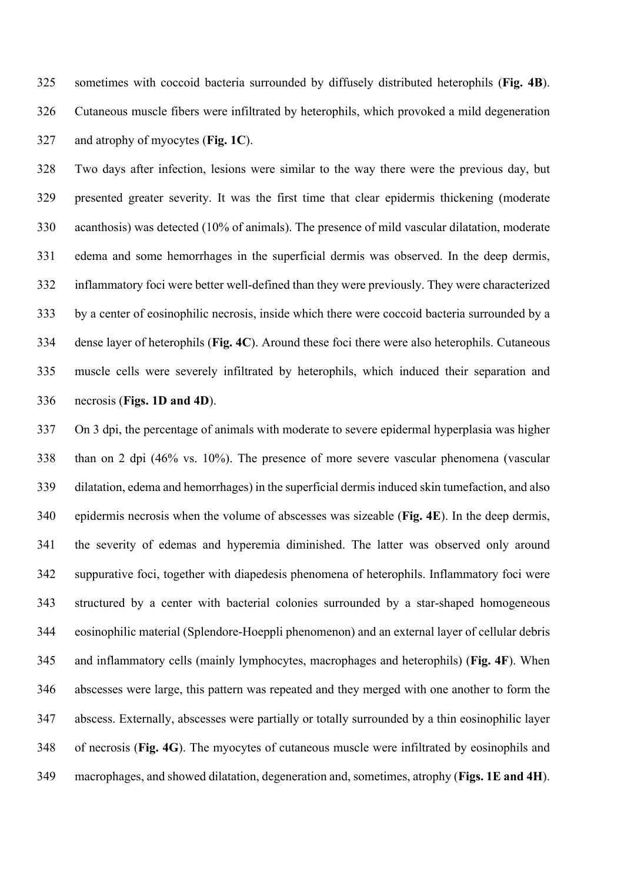sometimes with coccoid bacteria surrounded by diffusely distributed heterophils (**Fig. 4B**). Cutaneous muscle fibers were infiltrated by heterophils, which provoked a mild degeneration and atrophy of myocytes (**Fig. 1C**).

 Two days after infection, lesions were similar to the way there were the previous day, but presented greater severity. It was the first time that clear epidermis thickening (moderate acanthosis) was detected (10% of animals). The presence of mild vascular dilatation, moderate edema and some hemorrhages in the superficial dermis was observed. In the deep dermis, inflammatory foci were better well-defined than they were previously. They were characterized by a center of eosinophilic necrosis, inside which there were coccoid bacteria surrounded by a dense layer of heterophils (**Fig. 4C**). Around these foci there were also heterophils. Cutaneous muscle cells were severely infiltrated by heterophils, which induced their separation and necrosis (**Figs. 1D and 4D**).

 On 3 dpi, the percentage of animals with moderate to severe epidermal hyperplasia was higher than on 2 dpi (46% vs. 10%). The presence of more severe vascular phenomena (vascular dilatation, edema and hemorrhages) in the superficial dermis induced skin tumefaction, and also epidermis necrosis when the volume of abscesses was sizeable (**Fig. 4E**). In the deep dermis, the severity of edemas and hyperemia diminished. The latter was observed only around suppurative foci, together with diapedesis phenomena of heterophils. Inflammatory foci were structured by a center with bacterial colonies surrounded by a star-shaped homogeneous eosinophilic material (Splendore-Hoeppli phenomenon) and an external layer of cellular debris and inflammatory cells (mainly lymphocytes, macrophages and heterophils) (**Fig. 4F**). When abscesses were large, this pattern was repeated and they merged with one another to form the abscess. Externally, abscesses were partially or totally surrounded by a thin eosinophilic layer of necrosis (**Fig. 4G**). The myocytes of cutaneous muscle were infiltrated by eosinophils and macrophages, and showed dilatation, degeneration and, sometimes, atrophy (**Figs. 1E and 4H**).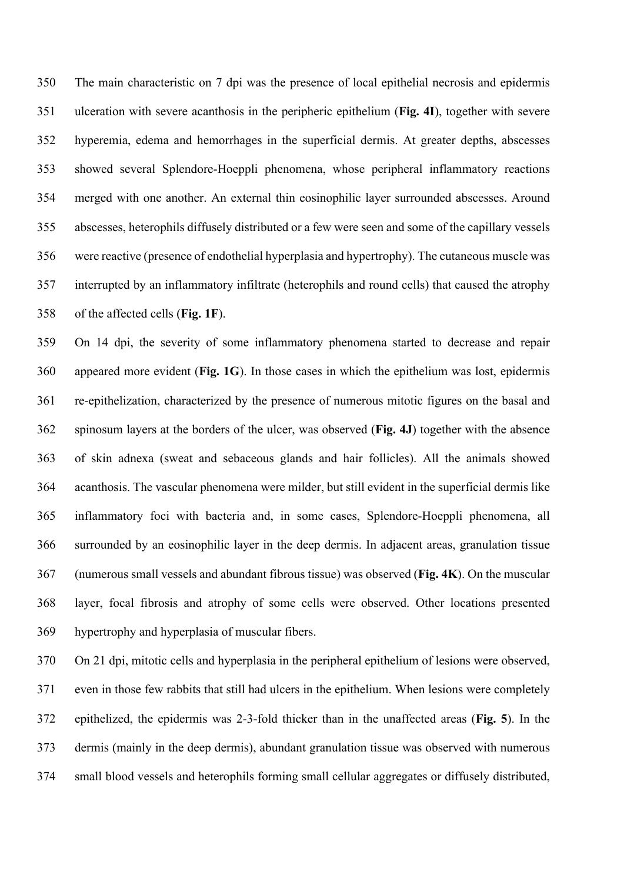The main characteristic on 7 dpi was the presence of local epithelial necrosis and epidermis ulceration with severe acanthosis in the peripheric epithelium (**Fig. 4I**), together with severe hyperemia, edema and hemorrhages in the superficial dermis. At greater depths, abscesses showed several Splendore-Hoeppli phenomena, whose peripheral inflammatory reactions merged with one another. An external thin eosinophilic layer surrounded abscesses. Around abscesses, heterophils diffusely distributed or a few were seen and some of the capillary vessels were reactive (presence of endothelial hyperplasia and hypertrophy). The cutaneous muscle was interrupted by an inflammatory infiltrate (heterophils and round cells) that caused the atrophy of the affected cells (**Fig. 1F**).

 On 14 dpi, the severity of some inflammatory phenomena started to decrease and repair appeared more evident (**Fig. 1G**). In those cases in which the epithelium was lost, epidermis re-epithelization, characterized by the presence of numerous mitotic figures on the basal and spinosum layers at the borders of the ulcer, was observed (**Fig. 4J**) together with the absence of skin adnexa (sweat and sebaceous glands and hair follicles). All the animals showed acanthosis. The vascular phenomena were milder, but still evident in the superficial dermis like inflammatory foci with bacteria and, in some cases, Splendore-Hoeppli phenomena, all surrounded by an eosinophilic layer in the deep dermis. In adjacent areas, granulation tissue (numerous small vessels and abundant fibrous tissue) was observed (**Fig. 4K**). On the muscular layer, focal fibrosis and atrophy of some cells were observed. Other locations presented hypertrophy and hyperplasia of muscular fibers.

 On 21 dpi, mitotic cells and hyperplasia in the peripheral epithelium of lesions were observed, even in those few rabbits that still had ulcers in the epithelium. When lesions were completely epithelized, the epidermis was 2-3-fold thicker than in the unaffected areas (**Fig. 5**). In the dermis (mainly in the deep dermis), abundant granulation tissue was observed with numerous small blood vessels and heterophils forming small cellular aggregates or diffusely distributed,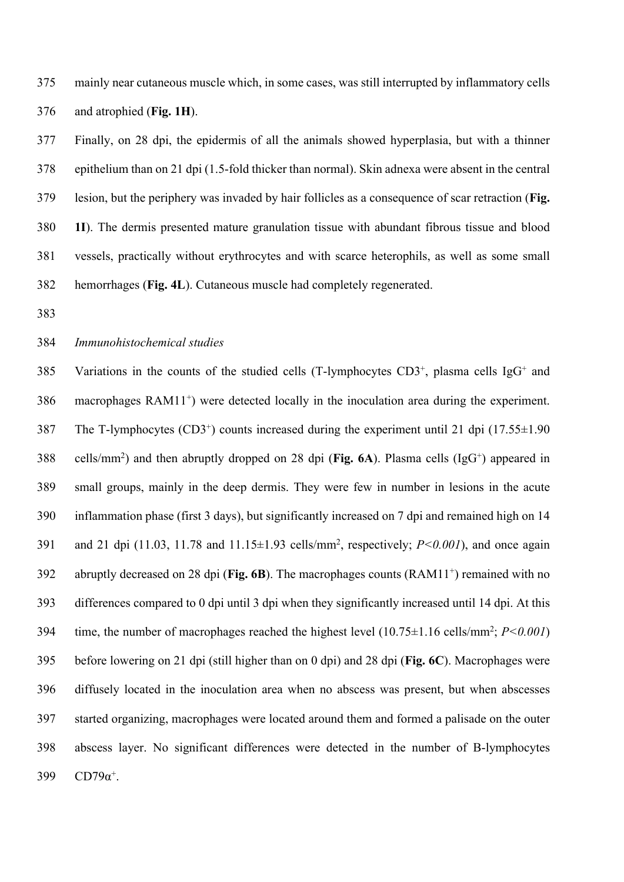mainly near cutaneous muscle which, in some cases, was still interrupted by inflammatory cells and atrophied (**Fig. 1H**).

 Finally, on 28 dpi, the epidermis of all the animals showed hyperplasia, but with a thinner epithelium than on 21 dpi (1.5-fold thicker than normal). Skin adnexa were absent in the central lesion, but the periphery was invaded by hair follicles as a consequence of scar retraction (**Fig. 1I**). The dermis presented mature granulation tissue with abundant fibrous tissue and blood vessels, practically without erythrocytes and with scarce heterophils, as well as some small hemorrhages (**Fig. 4L**). Cutaneous muscle had completely regenerated.

# *Immunohistochemical studies*

385 Variations in the counts of the studied cells (T-lymphocytes  $CD3^+$ , plasma cells IgG<sup>+</sup> and macrophages RAM11<sup>+</sup>) were detected locally in the inoculation area during the experiment. 387 The T-lymphocytes  $(CD3<sup>+</sup>)$  counts increased during the experiment until 21 dpi  $(17.55\pm1.90)$ 388 cells/mm<sup>2</sup>) and then abruptly dropped on 28 dpi (**Fig. 6A**). Plasma cells (IgG<sup>+</sup>) appeared in small groups, mainly in the deep dermis. They were few in number in lesions in the acute inflammation phase (first 3 days), but significantly increased on 7 dpi and remained high on 14 391 and 21 dpi (11.03, 11.78 and  $11.15 \pm 1.93$  cells/mm<sup>2</sup>, respectively;  $P < 0.001$ ), and once again 392 abruptly decreased on 28 dpi (**Fig. 6B**). The macrophages counts  $(RAM11<sup>+</sup>)$  remained with no differences compared to 0 dpi until 3 dpi when they significantly increased until 14 dpi. At this 394 time, the number of macrophages reached the highest level  $(10.75 \pm 1.16 \text{ cells/mm}^2; P \le 0.001)$  before lowering on 21 dpi (still higher than on 0 dpi) and 28 dpi (**Fig. 6C**). Macrophages were diffusely located in the inoculation area when no abscess was present, but when abscesses started organizing, macrophages were located around them and formed a palisade on the outer abscess layer. No significant differences were detected in the number of B-lymphocytes 399  $CD79\alpha^+$ .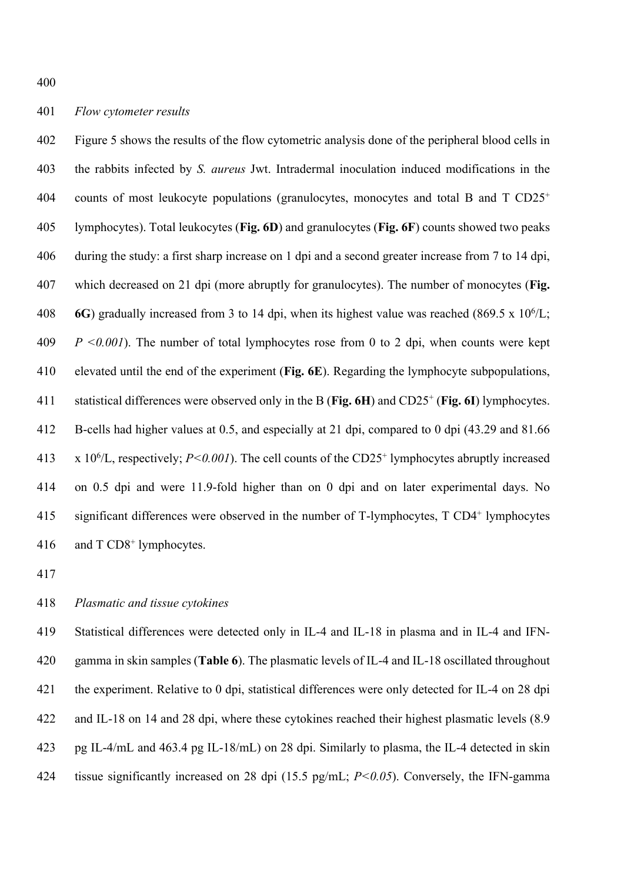Figure 5 shows the results of the flow cytometric analysis done of the peripheral blood cells in the rabbits infected by *S. aureus* Jwt. Intradermal inoculation induced modifications in the 404 counts of most leukocyte populations (granulocytes, monocytes and total B and T  $CD25<sup>+</sup>$  lymphocytes). Total leukocytes (**Fig. 6D**) and granulocytes (**Fig. 6F**) counts showed two peaks during the study: a first sharp increase on 1 dpi and a second greater increase from 7 to 14 dpi, which decreased on 21 dpi (more abruptly for granulocytes). The number of monocytes (**Fig. 6G**) gradually increased from 3 to 14 dpi, when its highest value was reached (869.5 x  $10^{6}/L$ ; *P <0.001*). The number of total lymphocytes rose from 0 to 2 dpi, when counts were kept elevated until the end of the experiment (**Fig. 6E**). Regarding the lymphocyte subpopulations, 411 statistical differences were observed only in the B (Fig. 6H) and CD25<sup>+</sup> (Fig. 6I) lymphocytes. B-cells had higher values at 0.5, and especially at 21 dpi, compared to 0 dpi (43.29 and 81.66 413 x 10<sup>6</sup>/L, respectively;  $P \le 0.001$ ). The cell counts of the CD25<sup>+</sup> lymphocytes abruptly increased on 0.5 dpi and were 11.9-fold higher than on 0 dpi and on later experimental days. No 415 significant differences were observed in the number of T-lymphocytes, T CD4<sup>+</sup> lymphocytes 416 and  $T \text{ CD8}^+$  lymphocytes.

# *Plasmatic and tissue cytokines*

 Statistical differences were detected only in IL-4 and IL-18 in plasma and in IL-4 and IFN- gamma in skin samples (**Table 6**). The plasmatic levels of IL-4 and IL-18 oscillated throughout the experiment. Relative to 0 dpi, statistical differences were only detected for IL-4 on 28 dpi and IL-18 on 14 and 28 dpi, where these cytokines reached their highest plasmatic levels (8.9 pg IL-4/mL and 463.4 pg IL-18/mL) on 28 dpi. Similarly to plasma, the IL-4 detected in skin tissue significantly increased on 28 dpi (15.5 pg/mL; *P<0.05*). Conversely, the IFN-gamma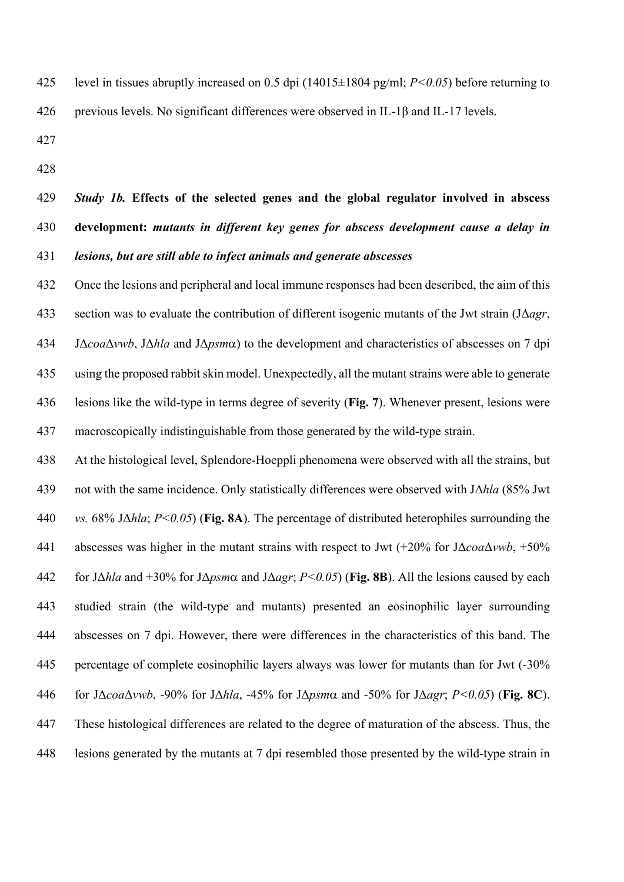level in tissues abruptly increased on 0.5 dpi (14015±1804 pg/ml; *P<0.05*) before returning to previous levels. No significant differences were observed in IL-1β and IL-17 levels.

# *Study 1b.* **Effects of the selected genes and the global regulator involved in abscess development:** *mutants in different key genes for abscess development cause a delay in lesions, but are still able to infect animals and generate abscesses*

 Once the lesions and peripheral and local immune responses had been described, the aim of this section was to evaluate the contribution of different isogenic mutants of the Jwt strain (JΔ*agr*, JΔ*coa*Δ*vwb*, JΔ*hla* and JΔ*psm*a) to the development and characteristics of abscesses on 7 dpi using the proposed rabbit skin model. Unexpectedly, all the mutant strains were able to generate lesions like the wild-type in terms degree of severity (**Fig. 7**). Whenever present, lesions were macroscopically indistinguishable from those generated by the wild-type strain.

 At the histological level, Splendore-Hoeppli phenomena were observed with all the strains, but not with the same incidence. Only statistically differences were observed with JΔ*hla* (85% Jwt *vs.* 68% JΔ*hla*; *P<0.05*) (**Fig. 8A**). The percentage of distributed heterophiles surrounding the abscesses was higher in the mutant strains with respect to Jwt (+20% for JΔ*coa*Δ*vwb*, +50% for JΔ*hla* and +30% for JΔ*psm*a and JΔ*agr*; *P<0.05*) (**Fig. 8B**). All the lesions caused by each studied strain (the wild-type and mutants) presented an eosinophilic layer surrounding abscesses on 7 dpi. However, there were differences in the characteristics of this band. The percentage of complete eosinophilic layers always was lower for mutants than for Jwt (-30% for JΔ*coa*Δ*vwb*, -90% for JΔ*hla*, -45% for JΔ*psm*a and -50% for JΔ*agr*; *P<0.05*) (**Fig. 8C**). These histological differences are related to the degree of maturation of the abscess. Thus, the lesions generated by the mutants at 7 dpi resembled those presented by the wild-type strain in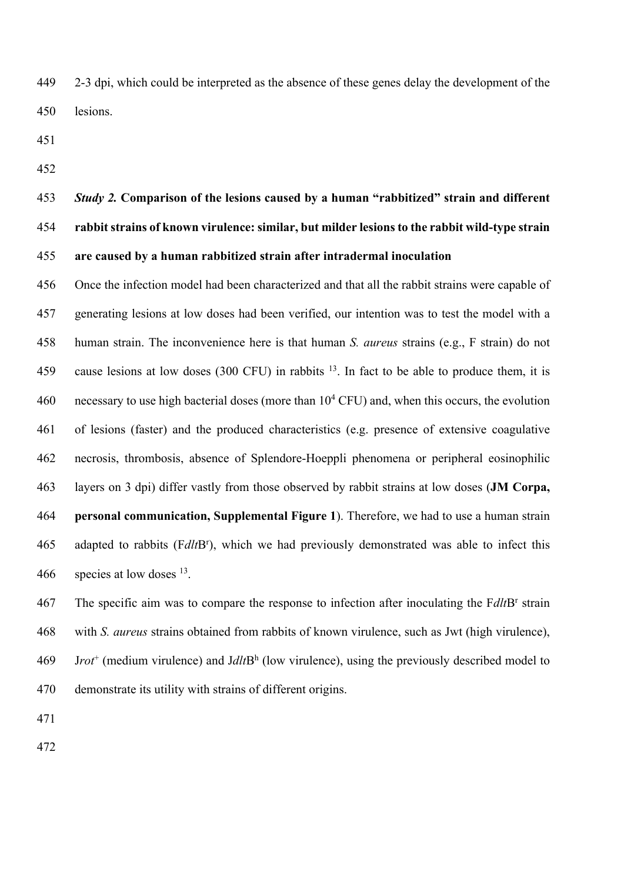2-3 dpi, which could be interpreted as the absence of these genes delay the development of the lesions.

# *Study 2.* **Comparison of the lesions caused by a human "rabbitized" strain and different rabbit strains of known virulence: similar, but milder lesions to the rabbit wild-type strain are caused by a human rabbitized strain after intradermal inoculation**

 Once the infection model had been characterized and that all the rabbit strains were capable of generating lesions at low doses had been verified, our intention was to test the model with a human strain. The inconvenience here is that human *S. aureus* strains (e.g., F strain) do not 459 cause lesions at low doses (300 CFU) in rabbits . In fact to be able to produce them, it is 460 necessary to use high bacterial doses (more than  $10^4$  CFU) and, when this occurs, the evolution of lesions (faster) and the produced characteristics (e.g. presence of extensive coagulative necrosis, thrombosis, absence of Splendore-Hoeppli phenomena or peripheral eosinophilic layers on 3 dpi) differ vastly from those observed by rabbit strains at low doses (**JM Corpa, personal communication, Supplemental Figure 1**). Therefore, we had to use a human strain 465 adapted to rabbits (FdltB<sup>r</sup>), which we had previously demonstrated was able to infect this 466 species at low doses .

The specific aim was to compare the response to infection after inoculating the F*dlt*B<sup>r</sup> strain with *S. aureus* strains obtained from rabbits of known virulence, such as Jwt (high virulence), J*rot*<sup>+</sup> (medium virulence) and J*dlt*Bh (low virulence), using the previously described model to demonstrate its utility with strains of different origins.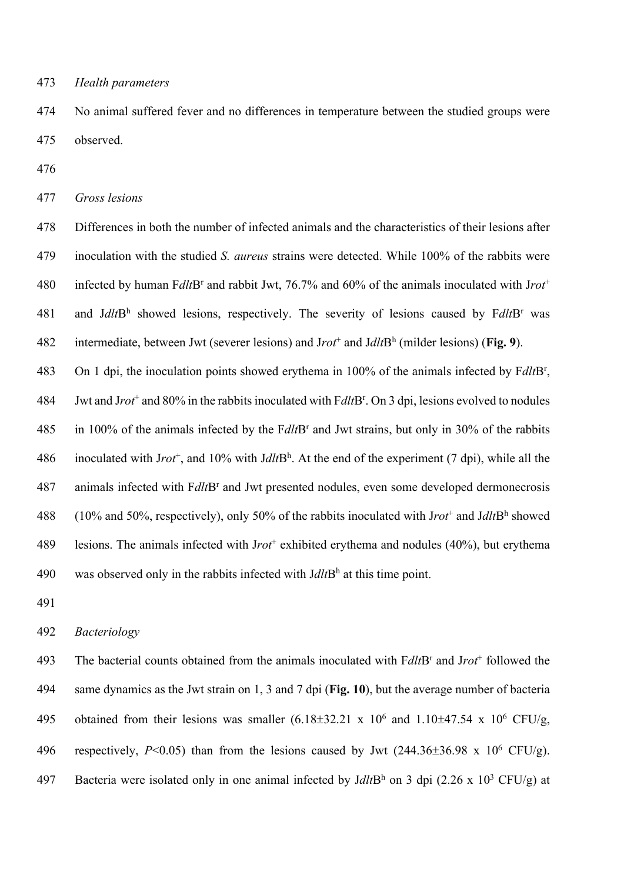473 *Health parameters* 

474 No animal suffered fever and no differences in temperature between the studied groups were 475 observed.

476

477 *Gross lesions*

478 Differences in both the number of infected animals and the characteristics of their lesions after 479 inoculation with the studied *S. aureus* strains were detected. While 100% of the rabbits were infected by human F*dlt*Br and rabbit Jwt, 76.7% and 60% of the animals inoculated with J*rot*<sup>+</sup> 480 481 and Jdlt<sup>Rh</sup> showed lesions, respectively. The severity of lesions caused by  $FdltB<sup>r</sup>$  was intermediate, between Jwt (severer lesions) and J*rot*<sup>+</sup> and J*dlt*Bh 482 (milder lesions) (**Fig. 9**).

483 On 1 dpi, the inoculation points showed erythema in 100% of the animals infected by FdltB<sup>r</sup>,

Jwt and J*rot*<sup>+</sup> and 80% in the rabbits inoculated with F*dlt*Br 484 . On 3 dpi, lesions evolved to nodules 485 in 100% of the animals infected by the F*dlt*B<sup>r</sup> and Jwt strains, but only in 30% of the rabbits

486 inoculated with Jrot<sup>+</sup>, and 10% with Jdlt<sup>h</sup>. At the end of the experiment (7 dpi), while all the 487 animals infected with F*dlt*B<sup>r</sup> and Jwt presented nodules, even some developed dermonecrosis 488 (10% and 50%, respectively), only 50% of the rabbits inoculated with Jrot<sup>+</sup> and JdltBh showed 489 esions. The animals infected with Jrot<sup>+</sup> exhibited erythema and nodules (40%), but erythema 490 was observed only in the rabbits infected with  $J dl t B<sup>h</sup>$  at this time point.

491

#### 492 *Bacteriology*

493 The bacterial counts obtained from the animals inoculated with Fdlt<sup>Br</sup> and Jrot<sup>+</sup> followed the 494 same dynamics as the Jwt strain on 1, 3 and 7 dpi (**Fig. 10**), but the average number of bacteria 495 obtained from their lesions was smaller  $(6.18\pm32.21 \times 10^6 \text{ and } 1.10\pm47.54 \times 10^6 \text{ CFU/g})$ 496 respectively,  $P \le 0.05$ ) than from the lesions caused by Jwt  $(244.36 \pm 36.98 \times 10^6 \text{ CFU/g})$ . 497 Bacteria were isolated only in one animal infected by  $JdltB<sup>h</sup>$  on 3 dpi (2.26 x 10<sup>3</sup> CFU/g) at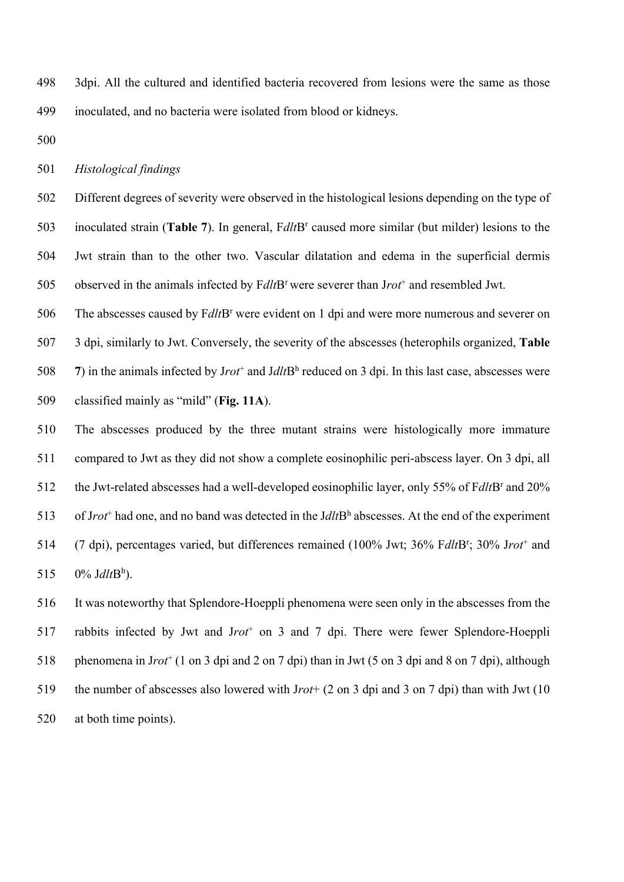498 3dpi. All the cultured and identified bacteria recovered from lesions were the same as those 499 inoculated, and no bacteria were isolated from blood or kidneys.

500

501 *Histological findings* 

502 Different degrees of severity were observed in the histological lesions depending on the type of 503 inoculated strain (**Table 7**). In general, Fdlt<sup>B</sup>r caused more similar (but milder) lesions to the 504 Jwt strain than to the other two. Vascular dilatation and edema in the superficial dermis 505 observed in the animals infected by FdltB<sup>r</sup> were severer than Jrot<sup>+</sup> and resembled Jwt.

The abscesses caused by F*dlt*B<sup>r</sup> were evident on 1 dpi and were more numerous and severer on 3 dpi, similarly to Jwt. Conversely, the severity of the abscesses (heterophils organized, **Table**  ) in the animals infected by Jrot<sup>+</sup> and Jdlt<sup>Rh</sup> reduced on 3 dpi. In this last case, abscesses were classified mainly as "mild" (**Fig. 11A**).

510 The abscesses produced by the three mutant strains were histologically more immature 511 compared to Jwt as they did not show a complete eosinophilic peri-abscess layer. On 3 dpi, all the Jwt-related abscesses had a well-developed eosinophilic layer, only 55% of F*dlt*B<sup>r</sup> and 20% 513 of Jrot<sup>+</sup> had one, and no band was detected in the Jdlt $B<sup>h</sup>$  abscesses. At the end of the experiment 514 (7 dpi), percentages varied, but differences remained (100% Jwt; 36% FdltB<sup>r</sup>; 30% Jrot<sup>+</sup> and 515  $0\%$  *Jdlt* $B<sup>h</sup>$ ).

516 It was noteworthy that Splendore-Hoeppli phenomena were seen only in the abscesses from the 517 rabbits infected by Jwt and Jrot<sup>+</sup> on 3 and 7 dpi. There were fewer Splendore-Hoeppli 518 phenomena in Jrot<sup>+</sup> (1 on 3 dpi and 2 on 7 dpi) than in Jwt (5 on 3 dpi and 8 on 7 dpi), although 519 the number of abscesses also lowered with J*rot*+ (2 on 3 dpi and 3 on 7 dpi) than with Jwt (10 520 at both time points).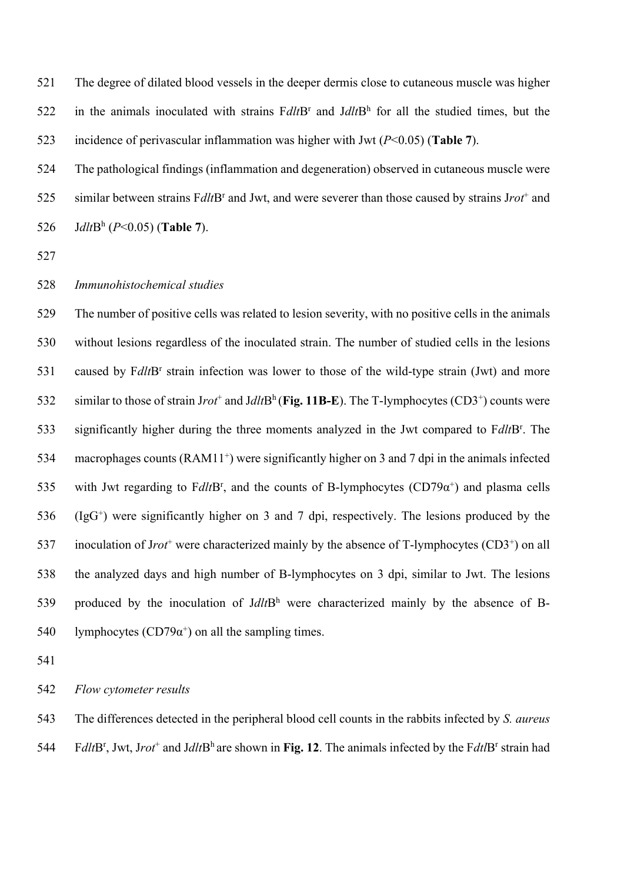521 The degree of dilated blood vessels in the deeper dermis close to cutaneous muscle was higher 522 in the animals inoculated with strains  $FdltB<sup>r</sup>$  and  $JdltB<sup>h</sup>$  for all the studied times, but the 523 incidence of perivascular inflammation was higher with Jwt (*P*<0.05) (**Table 7**).

524 The pathological findings (inflammation and degeneration) observed in cutaneous muscle were 525 similar between strains F*dlt*B<sup>r</sup> and Jwt, and were severer than those caused by strains Jrot<sup>+</sup> and 526 *Jdlt* $B^h$  ( $P < 0.05$ ) (**Table 7**).

527

#### 528 *Immunohistochemical studies*

529 The number of positive cells was related to lesion severity, with no positive cells in the animals 530 without lesions regardless of the inoculated strain. The number of studied cells in the lesions 531 caused by F*dlt*B<sup>r</sup> strain infection was lower to those of the wild-type strain (Jwt) and more 532 similar to those of strain Jrot<sup>+</sup> and Jdlt<sup>Rh</sup> (Fig. 11B-E). The T-lymphocytes (CD3<sup>+</sup>) counts were 533 significantly higher during the three moments analyzed in the Jwt compared to FdltB<sup>r</sup>. The 534 macrophages counts  $(RAM11<sup>+</sup>)$  were significantly higher on 3 and 7 dpi in the animals infected 535 with Jwt regarding to FdltB<sup>r</sup>, and the counts of B-lymphocytes ( $CD79\alpha^{+}$ ) and plasma cells  $536$  (IgG<sup>+</sup>) were significantly higher on 3 and 7 dpi, respectively. The lesions produced by the 537 inoculation of Jrot<sup>+</sup> were characterized mainly by the absence of T-lymphocytes (CD3<sup>+</sup>) on all 538 the analyzed days and high number of B-lymphocytes on 3 dpi, similar to Jwt. The lesions 539 produced by the inoculation of  $JdltB<sup>h</sup>$  were characterized mainly by the absence of B-540 lymphocytes (CD79 $\alpha^+$ ) on all the sampling times.

541

542 *Flow cytometer results*

543 The differences detected in the peripheral blood cell counts in the rabbits infected by *S. aureus* 544 Fdlt<sup>t</sup>B<sup>r</sup>, Jwt, Jrot<sup>+</sup> and Jdlt<sup>-Bh</sup> are shown in Fig. 12. The animals infected by the Fdt<sup>-</sup>Br strain had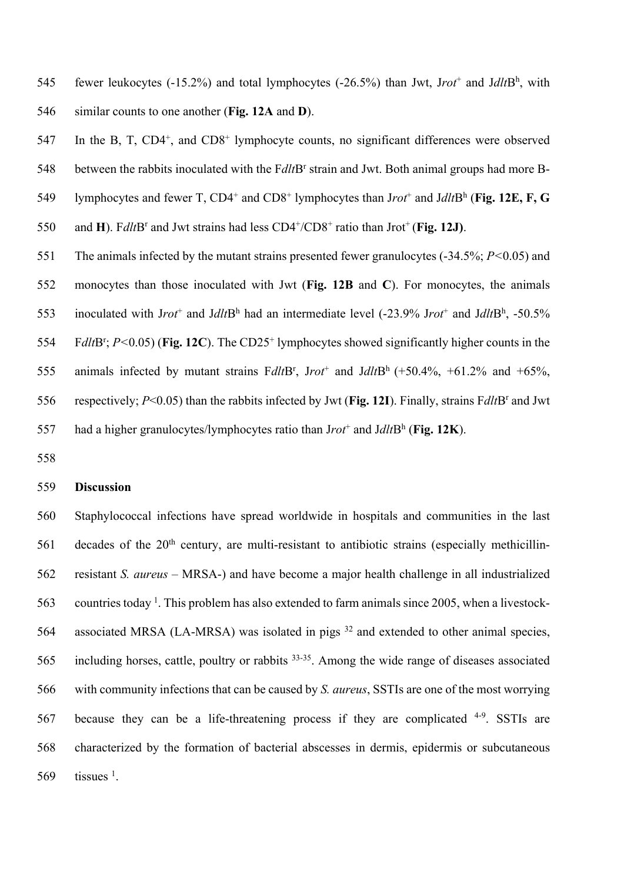545 fewer leukocytes  $(-15.2\%)$  and total lymphocytes  $(-26.5\%)$  than Jwt, Jrot<sup>+</sup> and Jdlt<sup>h</sup>, with 546 similar counts to one another (**Fig. 12A** and **D**).

 $547$  In the B, T, CD4<sup>+</sup>, and CD8<sup>+</sup> lymphocyte counts, no significant differences were observed 548 between the rabbits inoculated with the F*dlt*B<sup>r</sup> strain and Jwt. Both animal groups had more B-549 lymphocytes and fewer T,  $CD4^+$  and  $CD8^+$  lymphocytes than Jrot<sup>+</sup> and Jdlt $B^h$  (Fig. 12E, F, G 550 and **H**). F*dlt*B<sup>r</sup> and Jwt strains had less  $CD4^{+}/CD8^{+}$  ratio than Jrot<sup>+</sup> (**Fig. 12J**).

551 The animals infected by the mutant strains presented fewer granulocytes (-34.5%; *P<*0.05) and

552 monocytes than those inoculated with Jwt (**Fig. 12B** and **C**). For monocytes, the animals

553 inoculated with Jrot<sup>+</sup> and Jdlt<sup>Rh</sup> had an intermediate level  $(-23.9\%$  Jrot<sup>+</sup> and Jdlt<sup>Rh</sup>, -50.5%

554 Fdlt<sup>R</sup><sup>r</sup>; *P*<0.05) (Fig. 12C). The CD25<sup>+</sup> lymphocytes showed significantly higher counts in the

555 animals infected by mutant strains  $FdltB^r$ ,  $Jrot^+$  and  $JdltB^h$  (+50.4%, +61.2% and +65%,

556 respectively; *P*<0.05) than the rabbits infected by Jwt (**Fig. 12I**). Finally, strains F*dlt*B<sup>r</sup> and Jwt

557 had a higher granulocytes/lymphocytes ratio than  $Jrot^+$  and  $JdltB^h$  (Fig. 12K).

558

# 559 **Discussion**

560 Staphylococcal infections have spread worldwide in hospitals and communities in the last  $561$  decades of the  $20<sup>th</sup>$  century, are multi-resistant to antibiotic strains (especially methicillin-562 resistant *S. aureus* – MRSA-) and have become a major health challenge in all industrialized 563 countries today<sup>1</sup>. This problem has also extended to farm animals since 2005, when a livestock-564 associated MRSA (LA-MRSA) was isolated in pigs  $32$  and extended to other animal species, 565 including horses, cattle, poultry or rabbits  $33-35$ . Among the wide range of diseases associated 566 with community infections that can be caused by *S. aureus*, SSTIs are one of the most worrying 567 because they can be a life-threatening process if they are complicated  $4-9$ . SSTIs are 568 characterized by the formation of bacterial abscesses in dermis, epidermis or subcutaneous  $569$  tissues <sup>1</sup>.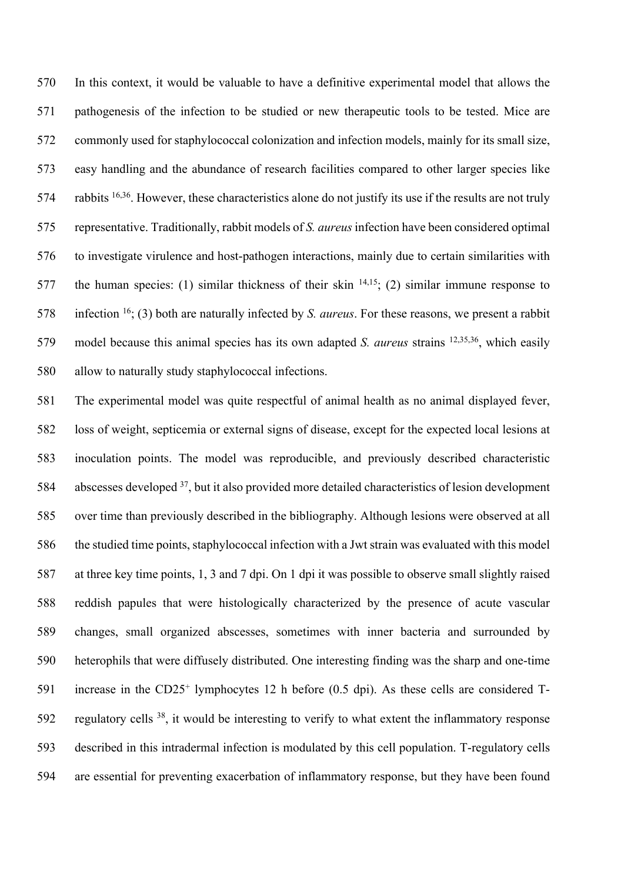In this context, it would be valuable to have a definitive experimental model that allows the pathogenesis of the infection to be studied or new therapeutic tools to be tested. Mice are commonly used for staphylococcal colonization and infection models, mainly for its small size, easy handling and the abundance of research facilities compared to other larger species like 574 rabbits  $16,36$ . However, these characteristics alone do not justify its use if the results are not truly representative. Traditionally, rabbit models of *S. aureus* infection have been considered optimal to investigate virulence and host-pathogen interactions, mainly due to certain similarities with 577 the human species: (1) similar thickness of their skin  $14,15$ ; (2) similar immune response to 578 infection ; (3) both are naturally infected by *S. aureus*. For these reasons, we present a rabbit 579 model because this animal species has its own adapted *S. aureus* strains <sup>12,35,36</sup>, which easily allow to naturally study staphylococcal infections.

 The experimental model was quite respectful of animal health as no animal displayed fever, loss of weight, septicemia or external signs of disease, except for the expected local lesions at inoculation points. The model was reproducible, and previously described characteristic 584 abscesses developed , but it also provided more detailed characteristics of lesion development over time than previously described in the bibliography. Although lesions were observed at all the studied time points, staphylococcal infection with a Jwt strain was evaluated with this model at three key time points, 1, 3 and 7 dpi. On 1 dpi it was possible to observe small slightly raised reddish papules that were histologically characterized by the presence of acute vascular changes, small organized abscesses, sometimes with inner bacteria and surrounded by heterophils that were diffusely distributed. One interesting finding was the sharp and one-time 591 increase in the  $CD25<sup>+</sup>$  lymphocytes 12 h before (0.5 dpi). As these cells are considered T-592 regulatory cells , it would be interesting to verify to what extent the inflammatory response described in this intradermal infection is modulated by this cell population. T-regulatory cells are essential for preventing exacerbation of inflammatory response, but they have been found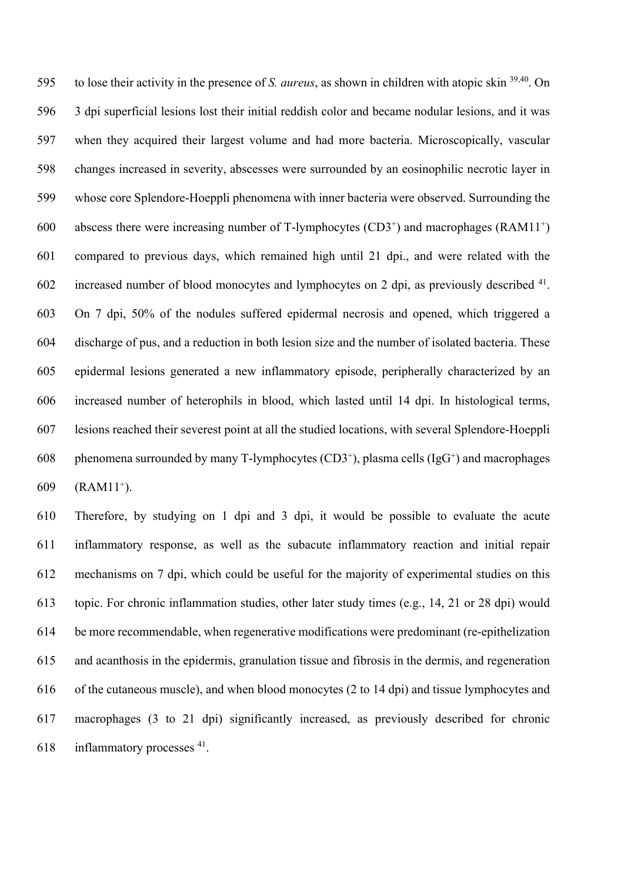595 to lose their activity in the presence of *S. aureus*, as shown in children with atopic skin <sup>39,40</sup>. On 3 dpi superficial lesions lost their initial reddish color and became nodular lesions, and it was when they acquired their largest volume and had more bacteria. Microscopically, vascular changes increased in severity, abscesses were surrounded by an eosinophilic necrotic layer in whose core Splendore-Hoeppli phenomena with inner bacteria were observed. Surrounding the 600 abscess there were increasing number of T-lymphocytes  $(CD3<sup>+</sup>)$  and macrophages  $(RAM11<sup>+</sup>)$  compared to previous days, which remained high until 21 dpi., and were related with the 602 increased number of blood monocytes and lymphocytes on 2 dpi, as previously described . On 7 dpi, 50% of the nodules suffered epidermal necrosis and opened, which triggered a discharge of pus, and a reduction in both lesion size and the number of isolated bacteria. These epidermal lesions generated a new inflammatory episode, peripherally characterized by an increased number of heterophils in blood, which lasted until 14 dpi. In histological terms, lesions reached their severest point at all the studied locations, with several Splendore-Hoeppli 608 phenomena surrounded by many T-lymphocytes  $(CD3<sup>+</sup>)$ , plasma cells  $(IgG<sup>+</sup>)$  and macrophages (RAM11<sup>+</sup>).

 Therefore, by studying on 1 dpi and 3 dpi, it would be possible to evaluate the acute inflammatory response, as well as the subacute inflammatory reaction and initial repair mechanisms on 7 dpi, which could be useful for the majority of experimental studies on this topic. For chronic inflammation studies, other later study times (e.g., 14, 21 or 28 dpi) would be more recommendable, when regenerative modifications were predominant (re-epithelization and acanthosis in the epidermis, granulation tissue and fibrosis in the dermis, and regeneration of the cutaneous muscle), and when blood monocytes (2 to 14 dpi) and tissue lymphocytes and macrophages (3 to 21 dpi) significantly increased, as previously described for chronic inflammatory processes  $41$ .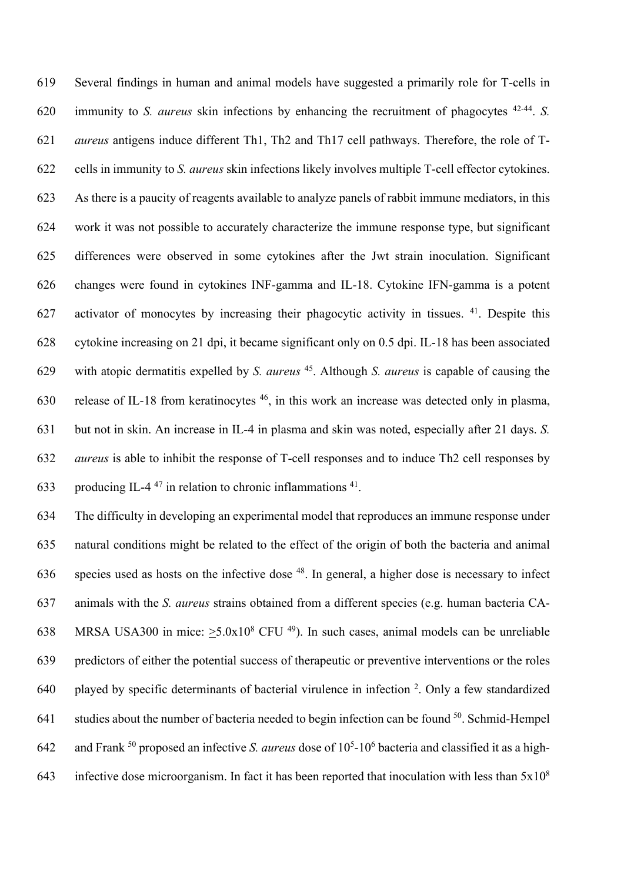Several findings in human and animal models have suggested a primarily role for T-cells in 620 immunity to *S. aureus* skin infections by enhancing the recruitment of phagocytes <sup>42-44</sup>. *S. aureus* antigens induce different Th1, Th2 and Th17 cell pathways. Therefore, the role of T- cells in immunity to *S. aureus* skin infections likely involves multiple T-cell effector cytokines. As there is a paucity of reagents available to analyze panels of rabbit immune mediators, in this work it was not possible to accurately characterize the immune response type, but significant differences were observed in some cytokines after the Jwt strain inoculation. Significant changes were found in cytokines INF-gamma and IL-18. Cytokine IFN-gamma is a potent 627 activator of monocytes by increasing their phagocytic activity in tissues. . Despite this cytokine increasing on 21 dpi, it became significant only on 0.5 dpi. IL-18 has been associated 629 with atopic dermatitis expelled by *S. aureus* <sup>45</sup>. Although *S. aureus* is capable of causing the 630 release of IL-18 from keratinocytes , in this work an increase was detected only in plasma, but not in skin. An increase in IL-4 in plasma and skin was noted, especially after 21 days. *S. aureus* is able to inhibit the response of T-cell responses and to induce Th2 cell responses by 633 producing IL-4<sup>47</sup> in relation to chronic inflammations  $41$ .

 The difficulty in developing an experimental model that reproduces an immune response under natural conditions might be related to the effect of the origin of both the bacteria and animal 636 species used as hosts on the infective dose . In general, a higher dose is necessary to infect animals with the *S. aureus* strains obtained from a different species (e.g. human bacteria CA-638 MRSA USA300 in mice:  $\geq$ 5.0x10<sup>8</sup> CFU<sup>49</sup>). In such cases, animal models can be unreliable predictors of either the potential success of therapeutic or preventive interventions or the roles played by specific determinants of bacterial virulence in infection  $2$ . Only a few standardized 641 studies about the number of bacteria needed to begin infection can be found . Schmid-Hempel 642 and Frank <sup>50</sup> proposed an infective *S. aureus* dose of 10<sup>5</sup>-10<sup>6</sup> bacteria and classified it as a high-643 infective dose microorganism. In fact it has been reported that inoculation with less than  $5x10^8$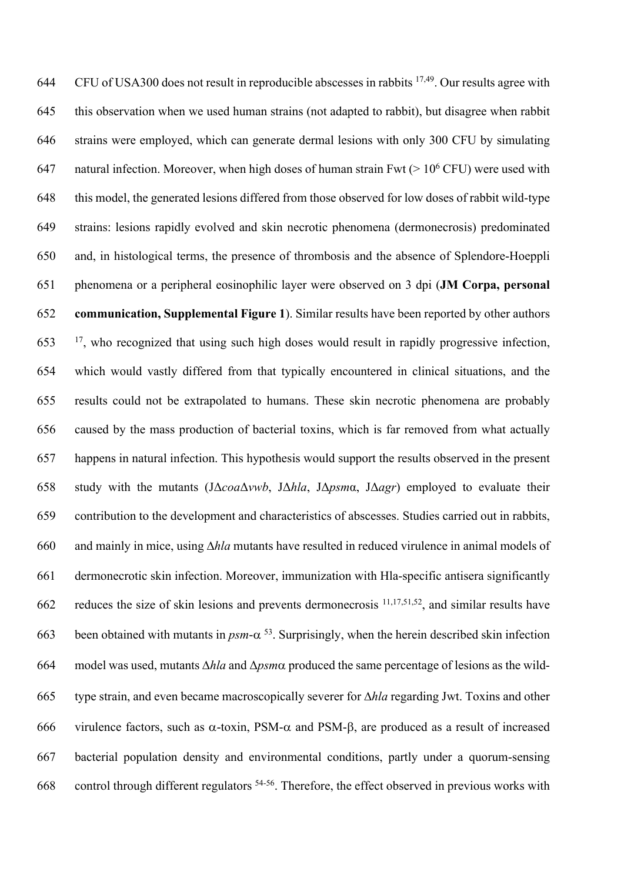644 CFU of USA300 does not result in reproducible abscesses in rabbits  $17,49$ . Our results agree with this observation when we used human strains (not adapted to rabbit), but disagree when rabbit strains were employed, which can generate dermal lesions with only 300 CFU by simulating 647 natural infection. Moreover, when high doses of human strain Fwt  $(> 10^6$  CFU) were used with this model, the generated lesions differed from those observed for low doses of rabbit wild-type strains: lesions rapidly evolved and skin necrotic phenomena (dermonecrosis) predominated and, in histological terms, the presence of thrombosis and the absence of Splendore-Hoeppli phenomena or a peripheral eosinophilic layer were observed on 3 dpi (**JM Corpa, personal communication, Supplemental Figure 1**). Similar results have been reported by other authors , who recognized that using such high doses would result in rapidly progressive infection, which would vastly differed from that typically encountered in clinical situations, and the results could not be extrapolated to humans. These skin necrotic phenomena are probably caused by the mass production of bacterial toxins, which is far removed from what actually happens in natural infection. This hypothesis would support the results observed in the present study with the mutants (JΔ*coa*Δ*vwb*, JΔ*hla*, JΔ*psm*α, JΔ*agr*) employed to evaluate their contribution to the development and characteristics of abscesses. Studies carried out in rabbits, and mainly in mice, using D*hla* mutants have resulted in reduced virulence in animal models of dermonecrotic skin infection. Moreover, immunization with Hla-specific antisera significantly 662 reduces the size of skin lesions and prevents dermonecrosis  $11,17,51,52$ , and similar results have 663 been obtained with mutants in  $p_s m - \alpha^{53}$ . Surprisingly, when the herein described skin infection model was used, mutants D*hla* and Δ*psm*a produced the same percentage of lesions as the wild- type strain, and even became macroscopically severer for D*hla* regarding Jwt. Toxins and other 666 virulence factors, such as  $\alpha$ -toxin, PSM- $\alpha$  and PSM- $\beta$ , are produced as a result of increased bacterial population density and environmental conditions, partly under a quorum-sensing 668 control through different regulators  $54-56$ . Therefore, the effect observed in previous works with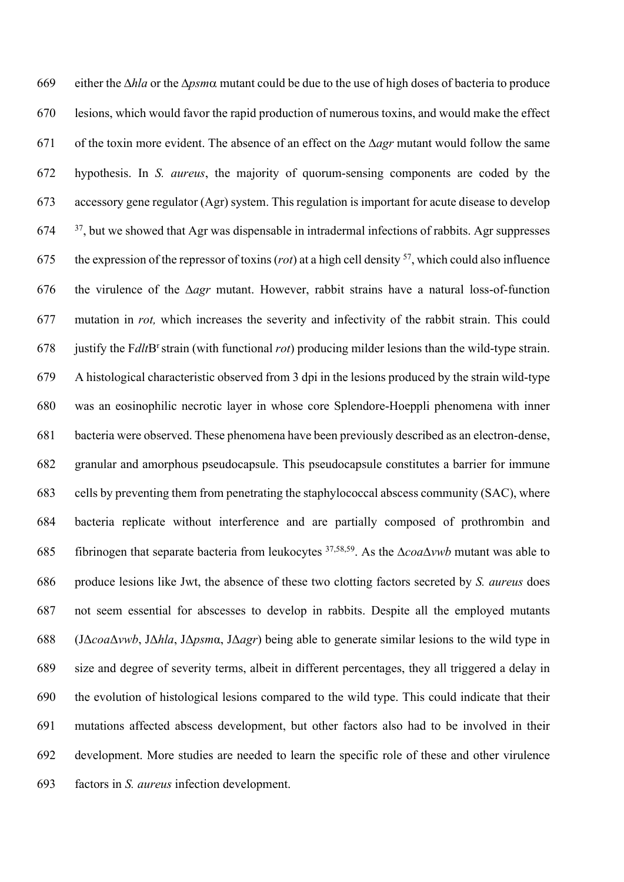669 either the  $\Delta h$ la or the  $\Delta p$ *sm* $\alpha$  mutant could be due to the use of high doses of bacteria to produce lesions, which would favor the rapid production of numerous toxins, and would make the effect 671 of the toxin more evident. The absence of an effect on the  $\Delta$ *agr* mutant would follow the same hypothesis. In *S. aureus*, the majority of quorum-sensing components are coded by the accessory gene regulator (Agr) system. This regulation is important for acute disease to develop  $37$ , but we showed that Agr was dispensable in intradermal infections of rabbits. Agr suppresses the expression of the repressor of toxins (*rot*) at a high cell density <sup>57</sup>, which could also influence 676 the virulence of the  $\Delta$ *agr* mutant. However, rabbit strains have a natural loss-of-function mutation in *rot,* which increases the severity and infectivity of the rabbit strain. This could 678 justify the F*dlt*B<sup>r</sup> strain (with functional *rot*) producing milder lesions than the wild-type strain. A histological characteristic observed from 3 dpi in the lesions produced by the strain wild-type was an eosinophilic necrotic layer in whose core Splendore-Hoeppli phenomena with inner bacteria were observed. These phenomena have been previously described as an electron-dense, granular and amorphous pseudocapsule. This pseudocapsule constitutes a barrier for immune cells by preventing them from penetrating the staphylococcal abscess community (SAC), where bacteria replicate without interference and are partially composed of prothrombin and 685 fibrinogen that separate bacteria from leukocytes <sup>37,58,59</sup>. As the  $\Delta coa\Delta vwb$  mutant was able to produce lesions like Jwt, the absence of these two clotting factors secreted by *S. aureus* does not seem essential for abscesses to develop in rabbits. Despite all the employed mutants (JΔ*coa*Δ*vwb*, JΔ*hla*, JΔ*psm*α, JΔ*agr*) being able to generate similar lesions to the wild type in size and degree of severity terms, albeit in different percentages, they all triggered a delay in the evolution of histological lesions compared to the wild type. This could indicate that their mutations affected abscess development, but other factors also had to be involved in their development. More studies are needed to learn the specific role of these and other virulence factors in *S. aureus* infection development.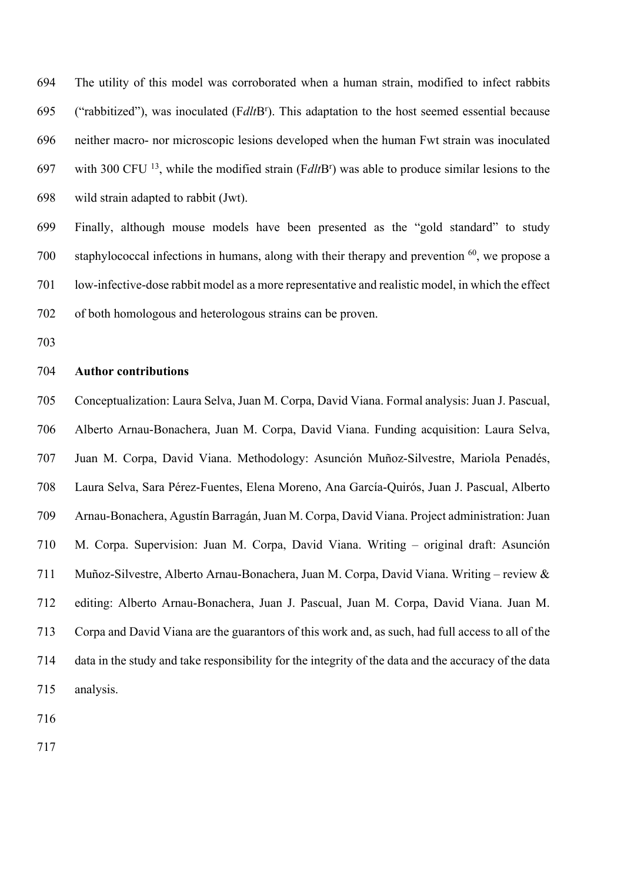The utility of this model was corroborated when a human strain, modified to infect rabbits ("rabbitized"), was inoculated (FdltB<sup>r</sup>). This adaptation to the host seemed essential because neither macro- nor microscopic lesions developed when the human Fwt strain was inoculated 697 with 300 CFU <sup>13</sup>, while the modified strain  $(FdltB<sup>r</sup>)$  was able to produce similar lesions to the wild strain adapted to rabbit (Jwt).

 Finally, although mouse models have been presented as the "gold standard" to study 700 staphylococcal infections in humans, along with their therapy and prevention , we propose a low-infective-dose rabbit model as a more representative and realistic model, in which the effect of both homologous and heterologous strains can be proven.

#### **Author contributions**

 Conceptualization: Laura Selva, Juan M. Corpa, David Viana. Formal analysis: Juan J. Pascual, Alberto Arnau-Bonachera, Juan M. Corpa, David Viana. Funding acquisition: Laura Selva, Juan M. Corpa, David Viana. Methodology: Asunción Muñoz-Silvestre, Mariola Penadés, Laura Selva, Sara Pérez-Fuentes, Elena Moreno, Ana García-Quirós, Juan J. Pascual, Alberto Arnau-Bonachera, Agustín Barragán, Juan M. Corpa, David Viana. Project administration: Juan M. Corpa. Supervision: Juan M. Corpa, David Viana. Writing – original draft: Asunción Muñoz-Silvestre, Alberto Arnau-Bonachera, Juan M. Corpa, David Viana. Writing – review & editing: Alberto Arnau-Bonachera, Juan J. Pascual, Juan M. Corpa, David Viana. Juan M. Corpa and David Viana are the guarantors of this work and, as such, had full access to all of the data in the study and take responsibility for the integrity of the data and the accuracy of the data analysis.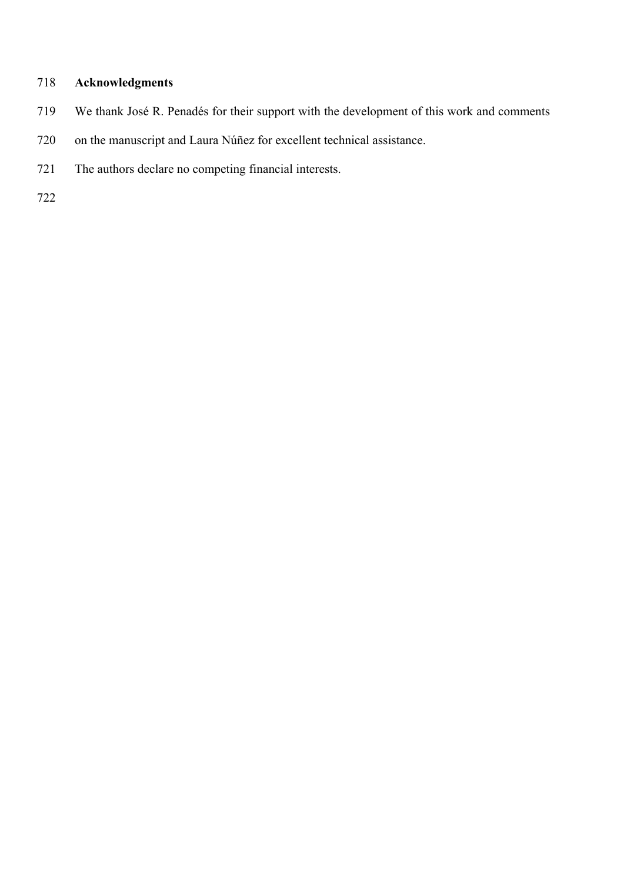# **Acknowledgments**

- We thank José R. Penadés for their support with the development of this work and comments
- on the manuscript and Laura Núñez for excellent technical assistance.
- The authors declare no competing financial interests.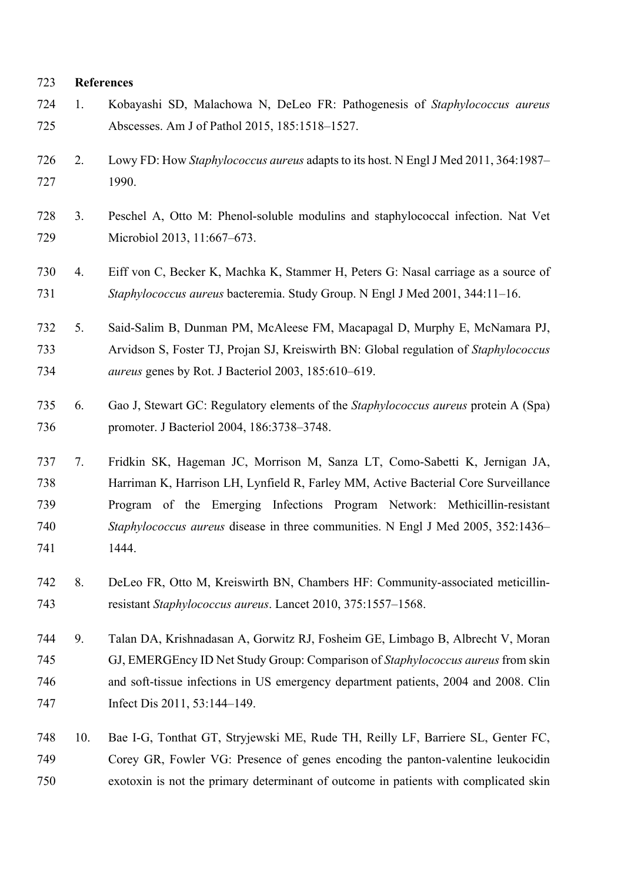# **References**

| 724<br>725                      | 1. | Kobayashi SD, Malachowa N, DeLeo FR: Pathogenesis of Staphylococcus aureus<br>Abscesses. Am J of Pathol 2015, 185:1518-1527.                                                                                                                                                                                                               |
|---------------------------------|----|--------------------------------------------------------------------------------------------------------------------------------------------------------------------------------------------------------------------------------------------------------------------------------------------------------------------------------------------|
| 726<br>727                      | 2. | Lowy FD: How Staphylococcus aureus adapts to its host. N Engl J Med 2011, 364:1987-<br>1990.                                                                                                                                                                                                                                               |
| 728<br>729                      | 3. | Peschel A, Otto M: Phenol-soluble modulins and staphylococcal infection. Nat Vet<br>Microbiol 2013, 11:667-673.                                                                                                                                                                                                                            |
| 730<br>731                      | 4. | Eiff von C, Becker K, Machka K, Stammer H, Peters G: Nasal carriage as a source of<br>Staphylococcus aureus bacteremia. Study Group. N Engl J Med 2001, 344:11-16.                                                                                                                                                                         |
| 732<br>733<br>734               | 5. | Said-Salim B, Dunman PM, McAleese FM, Macapagal D, Murphy E, McNamara PJ,<br>Arvidson S, Foster TJ, Projan SJ, Kreiswirth BN: Global regulation of Staphylococcus<br><i>aureus</i> genes by Rot. J Bacteriol 2003, 185:610–619.                                                                                                            |
| 735<br>736                      | 6. | Gao J, Stewart GC: Regulatory elements of the Staphylococcus aureus protein A (Spa)<br>promoter. J Bacteriol 2004, 186:3738-3748.                                                                                                                                                                                                          |
| 737<br>738<br>739<br>740<br>741 | 7. | Fridkin SK, Hageman JC, Morrison M, Sanza LT, Como-Sabetti K, Jernigan JA,<br>Harriman K, Harrison LH, Lynfield R, Farley MM, Active Bacterial Core Surveillance<br>Program of the Emerging Infections Program Network: Methicillin-resistant<br>Staphylococcus aureus disease in three communities. N Engl J Med 2005, 352:1436–<br>1444. |
| 742<br>743                      | 8. | DeLeo FR, Otto M, Kreiswirth BN, Chambers HF: Community-associated meticillin-<br>resistant Staphylococcus aureus. Lancet 2010, 375:1557–1568.                                                                                                                                                                                             |
| 744<br>745<br>746<br>747        | 9. | Talan DA, Krishnadasan A, Gorwitz RJ, Fosheim GE, Limbago B, Albrecht V, Moran<br>GJ, EMERGEncy ID Net Study Group: Comparison of Staphylococcus aureus from skin<br>and soft-tissue infections in US emergency department patients, 2004 and 2008. Clin<br>Infect Dis 2011, 53:144–149.                                                   |

 10. Bae I-G, Tonthat GT, Stryjewski ME, Rude TH, Reilly LF, Barriere SL, Genter FC, Corey GR, Fowler VG: Presence of genes encoding the panton-valentine leukocidin exotoxin is not the primary determinant of outcome in patients with complicated skin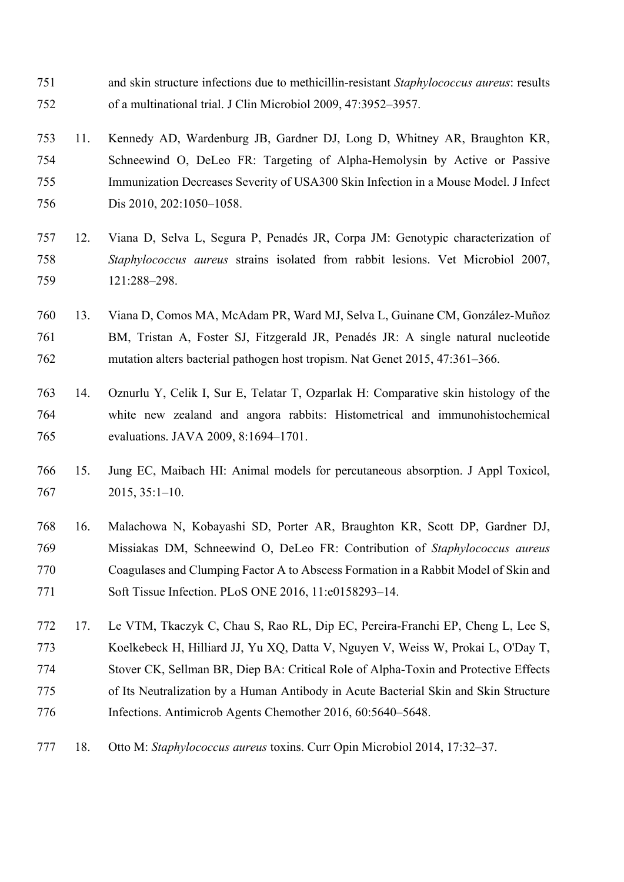and skin structure infections due to methicillin-resistant *Staphylococcus aureus*: results of a multinational trial. J Clin Microbiol 2009, 47:3952–3957.

 11. Kennedy AD, Wardenburg JB, Gardner DJ, Long D, Whitney AR, Braughton KR, Schneewind O, DeLeo FR: Targeting of Alpha‐Hemolysin by Active or Passive Immunization Decreases Severity of USA300 Skin Infection in a Mouse Model. J Infect Dis 2010, 202:1050–1058.

 12. Viana D, Selva L, Segura P, Penadés JR, Corpa JM: Genotypic characterization of *Staphylococcus aureus* strains isolated from rabbit lesions. Vet Microbiol 2007, 121:288–298.

- 13. Viana D, Comos MA, McAdam PR, Ward MJ, Selva L, Guinane CM, González-Muñoz BM, Tristan A, Foster SJ, Fitzgerald JR, Penadés JR: A single natural nucleotide mutation alters bacterial pathogen host tropism. Nat Genet 2015, 47:361–366.
- 14. Oznurlu Y, Celik I, Sur E, Telatar T, Ozparlak H: Comparative skin histology of the white new zealand and angora rabbits: Histometrical and immunohistochemical evaluations. JAVA 2009, 8:1694–1701.
- 15. Jung EC, Maibach HI: Animal models for percutaneous absorption. J Appl Toxicol, 2015, 35:1–10.
- 16. Malachowa N, Kobayashi SD, Porter AR, Braughton KR, Scott DP, Gardner DJ, Missiakas DM, Schneewind O, DeLeo FR: Contribution of *Staphylococcus aureus* Coagulases and Clumping Factor A to Abscess Formation in a Rabbit Model of Skin and 771 Soft Tissue Infection. PLoS ONE 2016, 11:e0158293-14.

 17. Le VTM, Tkaczyk C, Chau S, Rao RL, Dip EC, Pereira-Franchi EP, Cheng L, Lee S, Koelkebeck H, Hilliard JJ, Yu XQ, Datta V, Nguyen V, Weiss W, Prokai L, O'Day T, Stover CK, Sellman BR, Diep BA: Critical Role of Alpha-Toxin and Protective Effects of Its Neutralization by a Human Antibody in Acute Bacterial Skin and Skin Structure Infections. Antimicrob Agents Chemother 2016, 60:5640–5648.

18. Otto M: *Staphylococcus aureus* toxins. Curr Opin Microbiol 2014, 17:32–37.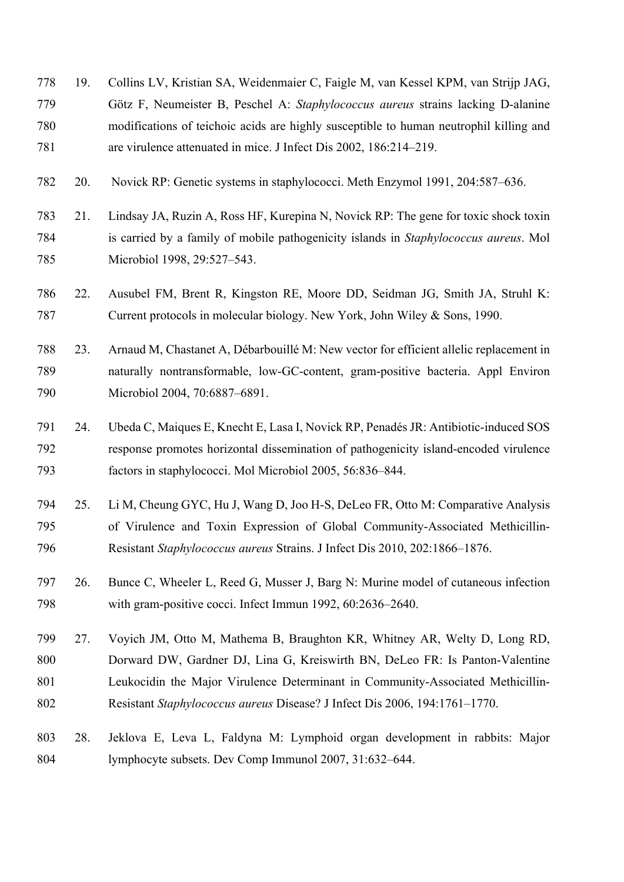- 19. Collins LV, Kristian SA, Weidenmaier C, Faigle M, van Kessel KPM, van Strijp JAG, Götz F, Neumeister B, Peschel A: *Staphylococcus aureus* strains lacking D-alanine modifications of teichoic acids are highly susceptible to human neutrophil killing and are virulence attenuated in mice. J Infect Dis 2002, 186:214–219.
- 20. Novick RP: Genetic systems in staphylococci. Meth Enzymol 1991, 204:587–636.
- 21. Lindsay JA, Ruzin A, Ross HF, Kurepina N, Novick RP: The gene for toxic shock toxin is carried by a family of mobile pathogenicity islands in *Staphylococcus aureus*. Mol Microbiol 1998, 29:527–543.
- 22. Ausubel FM, Brent R, Kingston RE, Moore DD, Seidman JG, Smith JA, Struhl K: Current protocols in molecular biology. New York, John Wiley & Sons, 1990.
- 23. Arnaud M, Chastanet A, Débarbouillé M: New vector for efficient allelic replacement in naturally nontransformable, low-GC-content, gram-positive bacteria. Appl Environ Microbiol 2004, 70:6887–6891.
- 24. Ubeda C, Maiques E, Knecht E, Lasa I, Novick RP, Penadés JR: Antibiotic-induced SOS response promotes horizontal dissemination of pathogenicity island-encoded virulence factors in staphylococci. Mol Microbiol 2005, 56:836–844.
- 25. Li M, Cheung GYC, Hu J, Wang D, Joo H-S, DeLeo FR, Otto M: Comparative Analysis of Virulence and Toxin Expression of Global Community‐Associated Methicillin‐ Resistant *Staphylococcus aureus* Strains. J Infect Dis 2010, 202:1866–1876.
- 26. Bunce C, Wheeler L, Reed G, Musser J, Barg N: Murine model of cutaneous infection with gram-positive cocci. Infect Immun 1992, 60:2636–2640.
- 27. Voyich JM, Otto M, Mathema B, Braughton KR, Whitney AR, Welty D, Long RD, 800 Dorward DW, Gardner DJ, Lina G, Kreiswirth BN, DeLeo FR: Is Panton-Valentine 801 Leukocidin the Major Virulence Determinant in Community-Associated Methicillin-Resistant *Staphylococcus aureus* Disease? J Infect Dis 2006, 194:1761–1770.
- 28. Jeklova E, Leva L, Faldyna M: Lymphoid organ development in rabbits: Major lymphocyte subsets. Dev Comp Immunol 2007, 31:632–644.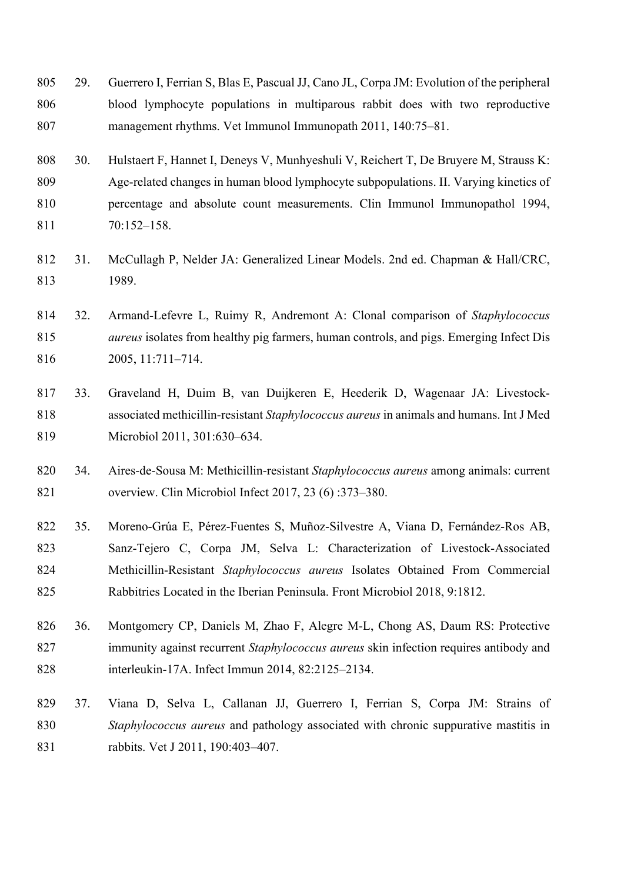- 29. Guerrero I, Ferrian S, Blas E, Pascual JJ, Cano JL, Corpa JM: Evolution of the peripheral blood lymphocyte populations in multiparous rabbit does with two reproductive management rhythms. Vet Immunol Immunopath 2011, 140:75–81.
- 30. Hulstaert F, Hannet I, Deneys V, Munhyeshuli V, Reichert T, De Bruyere M, Strauss K: Age-related changes in human blood lymphocyte subpopulations. II. Varying kinetics of percentage and absolute count measurements. Clin Immunol Immunopathol 1994, 70:152–158.
- 31. McCullagh P, Nelder JA: Generalized Linear Models. 2nd ed. Chapman & Hall/CRC, 1989.
- 32. Armand-Lefevre L, Ruimy R, Andremont A: Clonal comparison of *Staphylococcus aureus* isolates from healthy pig farmers, human controls, and pigs. Emerging Infect Dis 2005, 11:711–714.
- 33. Graveland H, Duim B, van Duijkeren E, Heederik D, Wagenaar JA: Livestock- associated methicillin-resistant *Staphylococcus aureus* in animals and humans. Int J Med Microbiol 2011, 301:630–634.
- 34. Aires-de-Sousa M: Methicillin-resistant *Staphylococcus aureus* among animals: current overview. Clin Microbiol Infect 2017, 23 (6) :373–380.
- 35. Moreno-Grúa E, Pérez-Fuentes S, Muñoz-Silvestre A, Viana D, Fernández-Ros AB, Sanz-Tejero C, Corpa JM, Selva L: Characterization of Livestock-Associated Methicillin-Resistant *Staphylococcus aureus* Isolates Obtained From Commercial Rabbitries Located in the Iberian Peninsula. Front Microbiol 2018, 9:1812.
- 36. Montgomery CP, Daniels M, Zhao F, Alegre M-L, Chong AS, Daum RS: Protective immunity against recurrent *Staphylococcus aureus* skin infection requires antibody and interleukin-17A. Infect Immun 2014, 82:2125–2134.
- 37. Viana D, Selva L, Callanan JJ, Guerrero I, Ferrian S, Corpa JM: Strains of *Staphylococcus aureus* and pathology associated with chronic suppurative mastitis in rabbits. Vet J 2011, 190:403–407.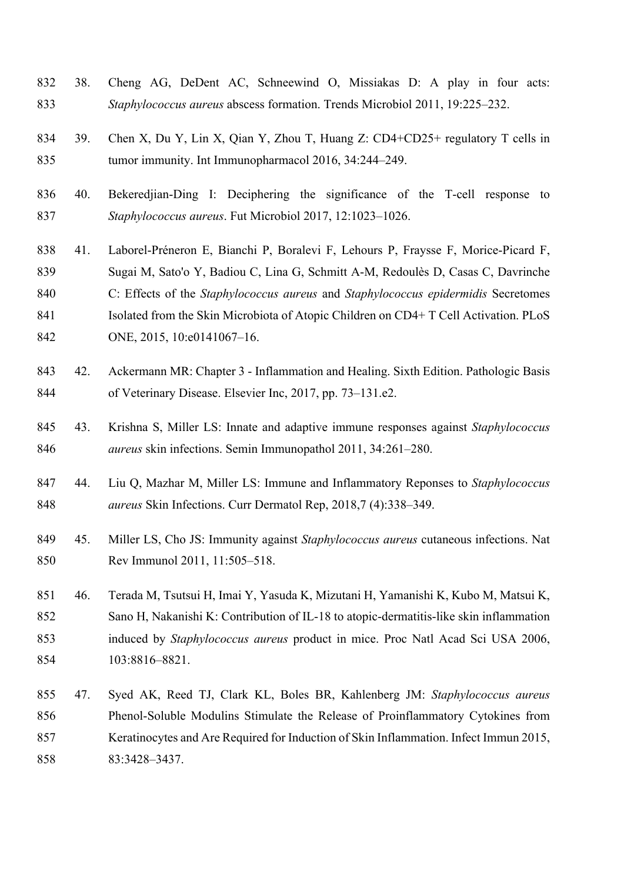- 38. Cheng AG, DeDent AC, Schneewind O, Missiakas D: A play in four acts: *Staphylococcus aureus* abscess formation. Trends Microbiol 2011, 19:225–232.
- 39. Chen X, Du Y, Lin X, Qian Y, Zhou T, Huang Z: CD4+CD25+ regulatory T cells in tumor immunity. Int Immunopharmacol 2016, 34:244–249.
- 40. Bekeredjian-Ding I: Deciphering the significance of the T-cell response to *Staphylococcus aureus*. Fut Microbiol 2017, 12:1023–1026.
- 41. Laborel-Préneron E, Bianchi P, Boralevi F, Lehours P, Fraysse F, Morice-Picard F, Sugai M, Sato'o Y, Badiou C, Lina G, Schmitt A-M, Redoulès D, Casas C, Davrinche C: Effects of the *Staphylococcus aureus* and *Staphylococcus epidermidis* Secretomes 841 Isolated from the Skin Microbiota of Atopic Children on CD4+ T Cell Activation. PLoS 842 ONE, 2015, 10:e0141067-16.
- 42. Ackermann MR: Chapter 3 Inflammation and Healing. Sixth Edition. Pathologic Basis of Veterinary Disease. Elsevier Inc, 2017, pp. 73–131.e2.
- 43. Krishna S, Miller LS: Innate and adaptive immune responses against *Staphylococcus aureus* skin infections. Semin Immunopathol 2011, 34:261–280.
- 44. Liu Q, Mazhar M, Miller LS: Immune and Inflammatory Reponses to *Staphylococcus aureus* Skin Infections. Curr Dermatol Rep, 2018,7 (4):338–349.
- 45. Miller LS, Cho JS: Immunity against *Staphylococcus aureus* cutaneous infections. Nat Rev Immunol 2011, 11:505–518.
- 46. Terada M, Tsutsui H, Imai Y, Yasuda K, Mizutani H, Yamanishi K, Kubo M, Matsui K, Sano H, Nakanishi K: Contribution of IL-18 to atopic-dermatitis-like skin inflammation induced by *Staphylococcus aureus* product in mice. Proc Natl Acad Sci USA 2006, 103:8816–8821.
- 47. Syed AK, Reed TJ, Clark KL, Boles BR, Kahlenberg JM: *Staphylococcus aureus* Phenol-Soluble Modulins Stimulate the Release of Proinflammatory Cytokines from Keratinocytes and Are Required for Induction of Skin Inflammation. Infect Immun 2015, 83:3428–3437.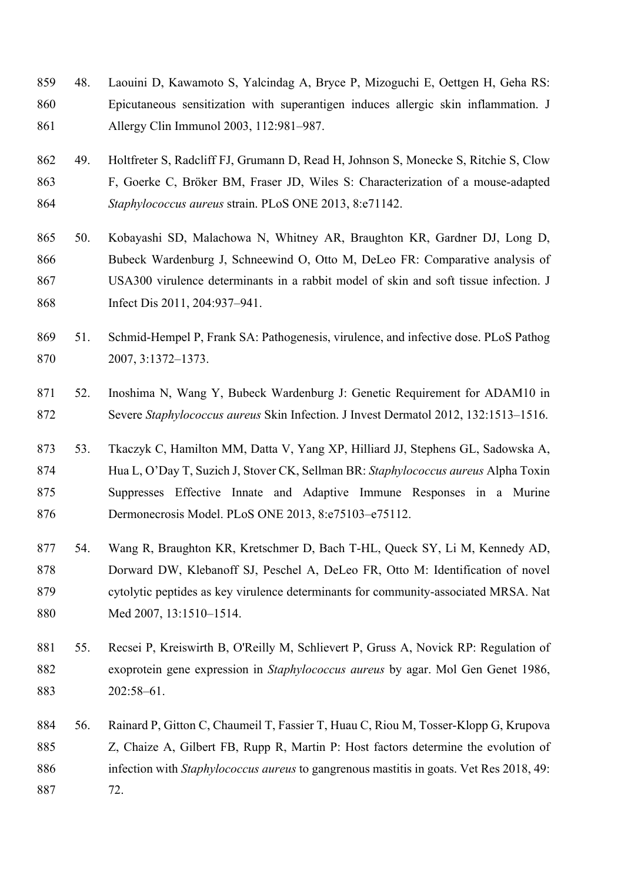- 48. Laouini D, Kawamoto S, Yalcindag A, Bryce P, Mizoguchi E, Oettgen H, Geha RS: Epicutaneous sensitization with superantigen induces allergic skin inflammation. J Allergy Clin Immunol 2003, 112:981–987.
- 49. Holtfreter S, Radcliff FJ, Grumann D, Read H, Johnson S, Monecke S, Ritchie S, Clow F, Goerke C, Bröker BM, Fraser JD, Wiles S: Characterization of a mouse-adapted *Staphylococcus aureus* strain. PLoS ONE 2013, 8:e71142.
- 50. Kobayashi SD, Malachowa N, Whitney AR, Braughton KR, Gardner DJ, Long D, Bubeck Wardenburg J, Schneewind O, Otto M, DeLeo FR: Comparative analysis of USA300 virulence determinants in a rabbit model of skin and soft tissue infection. J Infect Dis 2011, 204:937–941.
- 51. Schmid-Hempel P, Frank SA: Pathogenesis, virulence, and infective dose. PLoS Pathog 2007, 3:1372–1373.
- 52. Inoshima N, Wang Y, Bubeck Wardenburg J: Genetic Requirement for ADAM10 in Severe *Staphylococcus aureus* Skin Infection. J Invest Dermatol 2012, 132:1513–1516.
- 53. Tkaczyk C, Hamilton MM, Datta V, Yang XP, Hilliard JJ, Stephens GL, Sadowska A, Hua L, O'Day T, Suzich J, Stover CK, Sellman BR: *Staphylococcus aureus* Alpha Toxin Suppresses Effective Innate and Adaptive Immune Responses in a Murine Dermonecrosis Model. PLoS ONE 2013, 8:e75103–e75112.
- 54. Wang R, Braughton KR, Kretschmer D, Bach T-HL, Queck SY, Li M, Kennedy AD, Dorward DW, Klebanoff SJ, Peschel A, DeLeo FR, Otto M: Identification of novel cytolytic peptides as key virulence determinants for community-associated MRSA. Nat Med 2007, 13:1510–1514.
- 55. Recsei P, Kreiswirth B, O'Reilly M, Schlievert P, Gruss A, Novick RP: Regulation of exoprotein gene expression in *Staphylococcus aureus* by agar. Mol Gen Genet 1986, 202:58–61.
- 56. Rainard P, Gitton C, Chaumeil T, Fassier T, Huau C, Riou M, Tosser-Klopp G, Krupova Z, Chaize A, Gilbert FB, Rupp R, Martin P: Host factors determine the evolution of infection with *Staphylococcus aureus* to gangrenous mastitis in goats. Vet Res 2018, 49: 72.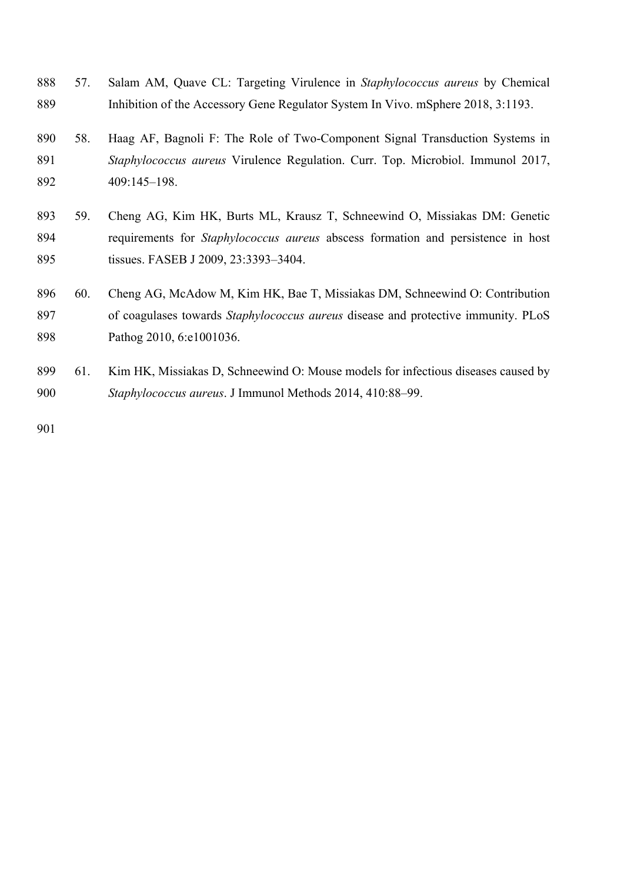- 57. Salam AM, Quave CL: Targeting Virulence in *Staphylococcus aureus* by Chemical Inhibition of the Accessory Gene Regulator System In Vivo. mSphere 2018, 3:1193.
- 58. Haag AF, Bagnoli F: The Role of Two-Component Signal Transduction Systems in *Staphylococcus aureus* Virulence Regulation. Curr. Top. Microbiol. Immunol 2017, 409:145–198.
- 59. Cheng AG, Kim HK, Burts ML, Krausz T, Schneewind O, Missiakas DM: Genetic requirements for *Staphylococcus aureus* abscess formation and persistence in host tissues. FASEB J 2009, 23:3393–3404.
- 60. Cheng AG, McAdow M, Kim HK, Bae T, Missiakas DM, Schneewind O: Contribution of coagulases towards *Staphylococcus aureus* disease and protective immunity. PLoS Pathog 2010, 6:e1001036.
- 61. Kim HK, Missiakas D, Schneewind O: Mouse models for infectious diseases caused by *Staphylococcus aureus*. J Immunol Methods 2014, 410:88–99.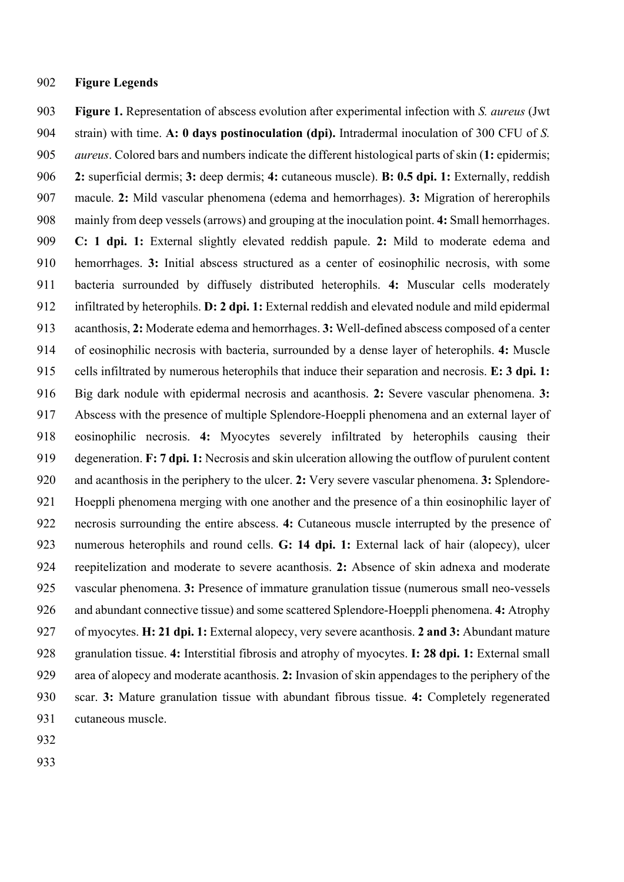## **Figure Legends**

 **Figure 1.** Representation of abscess evolution after experimental infection with *S. aureus* (Jwt strain) with time. **A: 0 days postinoculation (dpi).** Intradermal inoculation of 300 CFU of *S. aureus*. Colored bars and numbers indicate the different histological parts of skin (**1:** epidermis; **2:** superficial dermis; **3:** deep dermis; **4:** cutaneous muscle). **B: 0.5 dpi. 1:** Externally, reddish macule. **2:** Mild vascular phenomena (edema and hemorrhages). **3:** Migration of hererophils mainly from deep vessels (arrows) and grouping at the inoculation point. **4:** Small hemorrhages. **C: 1 dpi. 1:** External slightly elevated reddish papule. **2:** Mild to moderate edema and hemorrhages. **3:** Initial abscess structured as a center of eosinophilic necrosis, with some bacteria surrounded by diffusely distributed heterophils. **4:** Muscular cells moderately infiltrated by heterophils. **D: 2 dpi. 1:** External reddish and elevated nodule and mild epidermal acanthosis, **2:** Moderate edema and hemorrhages. **3:** Well-defined abscess composed of a center of eosinophilic necrosis with bacteria, surrounded by a dense layer of heterophils. **4:** Muscle cells infiltrated by numerous heterophils that induce their separation and necrosis. **E: 3 dpi. 1:**  Big dark nodule with epidermal necrosis and acanthosis. **2:** Severe vascular phenomena. **3:**  Abscess with the presence of multiple Splendore-Hoeppli phenomena and an external layer of eosinophilic necrosis. **4:** Myocytes severely infiltrated by heterophils causing their degeneration. **F: 7 dpi. 1:** Necrosis and skin ulceration allowing the outflow of purulent content and acanthosis in the periphery to the ulcer. **2:** Very severe vascular phenomena. **3:** Splendore- Hoeppli phenomena merging with one another and the presence of a thin eosinophilic layer of necrosis surrounding the entire abscess. **4:** Cutaneous muscle interrupted by the presence of numerous heterophils and round cells. **G: 14 dpi. 1:** External lack of hair (alopecy), ulcer reepitelization and moderate to severe acanthosis. **2:** Absence of skin adnexa and moderate vascular phenomena. **3:** Presence of immature granulation tissue (numerous small neo-vessels and abundant connective tissue) and some scattered Splendore-Hoeppli phenomena. **4:** Atrophy of myocytes. **H: 21 dpi. 1:** External alopecy, very severe acanthosis. **2 and 3:** Abundant mature granulation tissue. **4:** Interstitial fibrosis and atrophy of myocytes. **I: 28 dpi. 1:** External small area of alopecy and moderate acanthosis. **2:** Invasion of skin appendages to the periphery of the scar. **3:** Mature granulation tissue with abundant fibrous tissue. **4:** Completely regenerated cutaneous muscle.

- 
-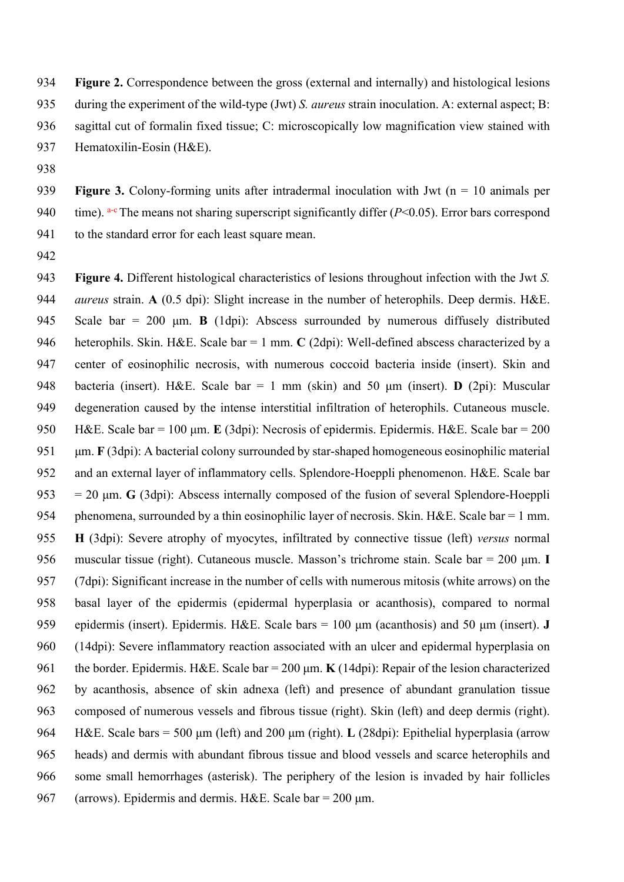**Figure 2.** Correspondence between the gross (external and internally) and histological lesions during the experiment of the wild-type (Jwt) *S. aureus* strain inoculation. A: external aspect; B: sagittal cut of formalin fixed tissue; C: microscopically low magnification view stained with

- Hematoxilin-Eosin (H&E).
- 

 **Figure 3.** Colony-forming units after intradermal inoculation with Jwt (n = 10 animals per 940 time).  $a-e$  The means not sharing superscript significantly differ ( $P<0.05$ ). Error bars correspond 941 to the standard error for each least square mean.

 **Figure 4.** Different histological characteristics of lesions throughout infection with the Jwt *S. aureus* strain. **A** (0.5 dpi): Slight increase in the number of heterophils. Deep dermis. H&E. Scale bar = 200 μm. **B** (1dpi): Abscess surrounded by numerous diffusely distributed heterophils. Skin. H&E. Scale bar = 1 mm. **C** (2dpi): Well-defined abscess characterized by a center of eosinophilic necrosis, with numerous coccoid bacteria inside (insert). Skin and bacteria (insert). H&E. Scale bar = 1 mm (skin) and 50 μm (insert). **D** (2pi): Muscular degeneration caused by the intense interstitial infiltration of heterophils. Cutaneous muscle. H&E. Scale bar = 100 μm. **E** (3dpi): Necrosis of epidermis. Epidermis. H&E. Scale bar = 200 μm. **F** (3dpi): A bacterial colony surrounded by star-shaped homogeneous eosinophilic material and an external layer of inflammatory cells. Splendore-Hoeppli phenomenon. H&E. Scale bar  $953 = 20 \text{ µm}$ . **G** (3dpi): Abscess internally composed of the fusion of several Splendore-Hoeppli 954 phenomena, surrounded by a thin eosinophilic layer of necrosis. Skin. H&E. Scale bar = 1 mm. **H** (3dpi): Severe atrophy of myocytes, infiltrated by connective tissue (left) *versus* normal muscular tissue (right). Cutaneous muscle. Masson's trichrome stain. Scale bar = 200 μm. **I**  (7dpi): Significant increase in the number of cells with numerous mitosis (white arrows) on the basal layer of the epidermis (epidermal hyperplasia or acanthosis), compared to normal epidermis (insert). Epidermis. H&E. Scale bars = 100 μm (acanthosis) and 50 μm (insert). **J** (14dpi): Severe inflammatory reaction associated with an ulcer and epidermal hyperplasia on the border. Epidermis. H&E. Scale bar = 200 μm. **K** (14dpi): Repair of the lesion characterized by acanthosis, absence of skin adnexa (left) and presence of abundant granulation tissue composed of numerous vessels and fibrous tissue (right). Skin (left) and deep dermis (right). H&E. Scale bars = 500 μm (left) and 200 μm (right). **L** (28dpi): Epithelial hyperplasia (arrow heads) and dermis with abundant fibrous tissue and blood vessels and scarce heterophils and some small hemorrhages (asterisk). The periphery of the lesion is invaded by hair follicles 967 (arrows). Epidermis and dermis. H&E. Scale bar =  $200 \mu m$ .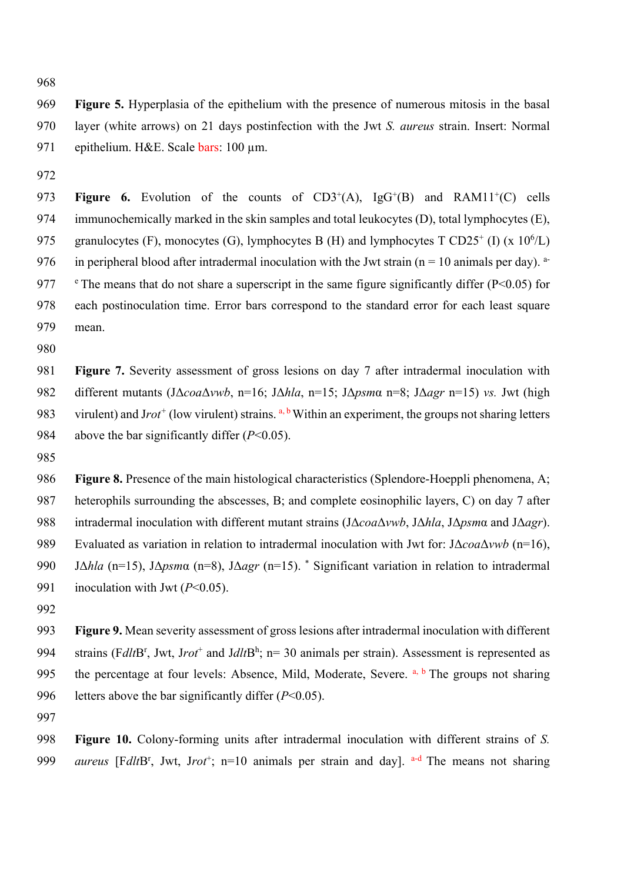**Figure 5.** Hyperplasia of the epithelium with the presence of numerous mitosis in the basal layer (white arrows) on 21 days postinfection with the Jwt *S. aureus* strain. Insert: Normal 971 epithelium. H&E. Scale bars: 100 μm.

**Figure 6.** Evolution of the counts of  $CD3^+(A)$ ,  $IgG^+(B)$  and  $RAM1^+(C)$  cells immunochemically marked in the skin samples and total leukocytes (D), total lymphocytes (E), 975 granulocytes (F), monocytes (G), lymphocytes B (H) and lymphocytes T CD25<sup>+</sup> (I) (x 10<sup>6</sup>/L) 976 in peripheral blood after intradermal inoculation with the Jwt strain ( $n = 10$  animals per day). <sup>a-</sup> 977  $\degree$  The means that do not share a superscript in the same figure significantly differ (P<0.05) for each postinoculation time. Error bars correspond to the standard error for each least square mean.

 **Figure 7.** Severity assessment of gross lesions on day 7 after intradermal inoculation with different mutants (JΔ*coa*Δ*vwb*, n=16; JΔ*hla*, n=15; JΔ*psm*α n=8; JΔ*agr* n=15) *vs.* Jwt (high 983 virulent) and Jrot<sup>+</sup> (low virulent) strains. <sup>a, b</sup> Within an experiment, the groups not sharing letters 984 above the bar significantly differ  $(P<0.05)$ .

 **Figure 8.** Presence of the main histological characteristics (Splendore-Hoeppli phenomena, A; heterophils surrounding the abscesses, B; and complete eosinophilic layers, C) on day 7 after intradermal inoculation with different mutant strains (JΔ*coa*Δ*vwb*, JΔ*hla*, JΔ*psm*α and JΔ*agr*). Evaluated as variation in relation to intradermal inoculation with Jwt for: JΔ*coa*Δ*vwb* (n=16), 990 JΔ*hla* (n=15), JΔ*psm*α (n=8), JΔ*agr* (n=15). \* Significant variation in relation to intradermal inoculation with Jwt (*P*<0.05).

 **Figure 9.** Mean severity assessment of gross lesions after intradermal inoculation with different 994 strains (FdltB<sup>r</sup>, Jwt, Jrot<sup>+</sup> and JdltB<sup>h</sup>; n= 30 animals per strain). Assessment is represented as 995 the percentage at four levels: Absence, Mild, Moderate, Severe.  $a, b$  The groups not sharing letters above the bar significantly differ (*P*<0.05).

 **Figure 10.** Colony-forming units after intradermal inoculation with different strains of *S.*  999 *aureus* [F*dlt*B<sup>r</sup>, Jwt, Jrot<sup>+</sup>; n=10 animals per strain and day]. <sup>a-d</sup> The means not sharing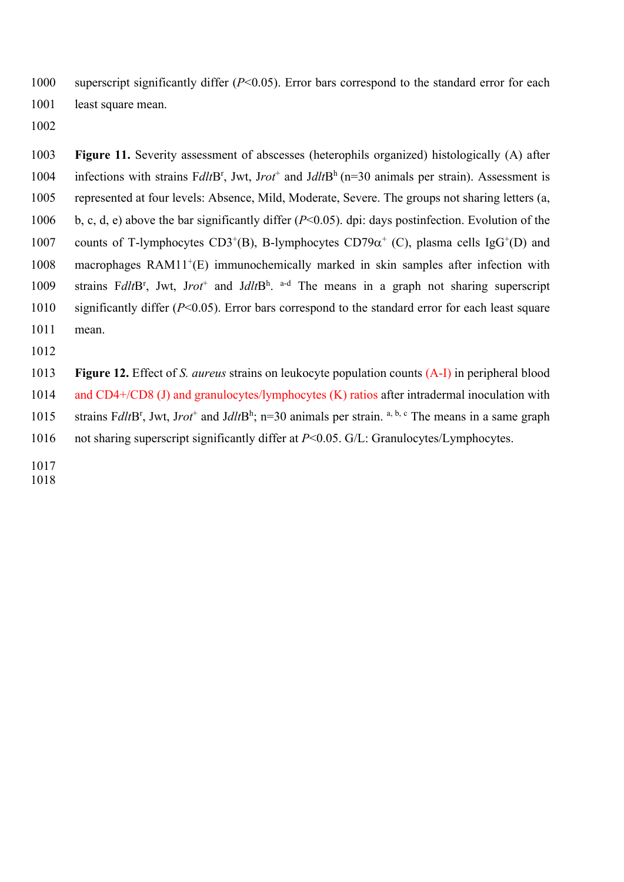superscript significantly differ (*P*<0.05). Error bars correspond to the standard error for each 1001 least square mean.

 **Figure 11.** Severity assessment of abscesses (heterophils organized) histologically (A) after 1004 infections with strains FdltB<sup>r</sup>, Jwt, Jrot<sup>+</sup> and JdltB<sup>h</sup> (n=30 animals per strain). Assessment is represented at four levels: Absence, Mild, Moderate, Severe. The groups not sharing letters (a, b, c, d, e) above the bar significantly differ (*P*<0.05). dpi: days postinfection. Evolution of the 1007 counts of T-lymphocytes CD3<sup>+</sup>(B), B-lymphocytes CD79 $\alpha^+$  (C), plasma cells IgG<sup>+</sup>(D) and macrophages RAM11<sup>+</sup>(E) immunochemically marked in skin samples after infection with 1009 strains FdltB<sup>r</sup>, Jwt, Jrot<sup>+</sup> and JdltB<sup>h</sup>. a-d The means in a graph not sharing superscript significantly differ (*P*<0.05). Error bars correspond to the standard error for each least square mean.

 **Figure 12.** Effect of *S. aureus* strains on leukocyte population counts (A-I) in peripheral blood 1014 and CD4+/CD8 (J) and granulocytes/lymphocytes (K) ratios after intradermal inoculation with 1015 strains F*dlt*B<sup>r</sup>, Jwt, Jrot<sup>+</sup> and JdltB<sup>h</sup>; n=30 animals per strain. <sup>a, b, c</sup> The means in a same graph

- 1016 not sharing superscript significantly differ at *P*<0.05. G/L: Granulocytes/Lymphocytes.
-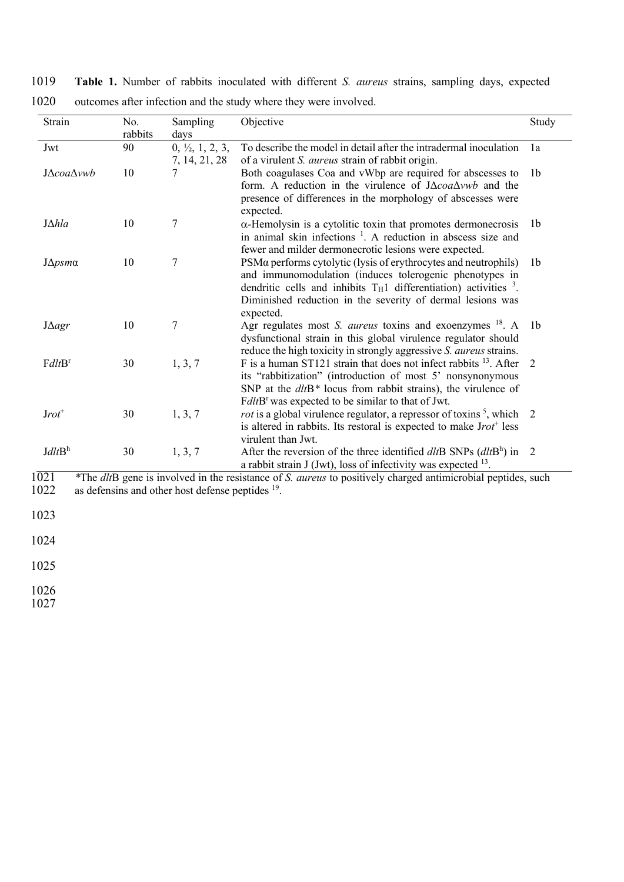1019 **Table 1.** Number of rabbits inoculated with different *S. aureus* strains, sampling days, expected 1020 outcomes after infection and the study where they were involved.

| Strain             | No.<br>rabbits | Sampling<br>days                            | Objective                                                                                                                                                                                                                                                                               | Study          |
|--------------------|----------------|---------------------------------------------|-----------------------------------------------------------------------------------------------------------------------------------------------------------------------------------------------------------------------------------------------------------------------------------------|----------------|
| Jwt                | 90             | $0, \frac{1}{2}, 1, 2, 3,$<br>7, 14, 21, 28 | To describe the model in detail after the intradermal inoculation<br>of a virulent <i>S. aureus</i> strain of rabbit origin.                                                                                                                                                            | 1a             |
| J∆coa∆vwb          | 10             |                                             | Both coagulases Coa and vWbp are required for abscesses to<br>form. A reduction in the virulence of $J\Delta coa\Delta vwb$ and the<br>presence of differences in the morphology of abscesses were<br>expected.                                                                         | 1b             |
| $J\Delta hla$      | 10             | 7                                           | $\alpha$ -Hemolysin is a cytolitic toxin that promotes dermonecrosis<br>in animal skin infections <sup>1</sup> . A reduction in abscess size and<br>fewer and milder dermonecrotic lesions were expected.                                                                               | 1 <sub>b</sub> |
| $J\Delta p$ sma    | 10             | 7                                           | PSMα performs cytolytic (lysis of erythrocytes and neutrophils)<br>and immunomodulation (induces tolerogenic phenotypes in<br>dendritic cells and inhibits $T_H1$ differentiation) activities <sup>3</sup> .<br>Diminished reduction in the severity of dermal lesions was<br>expected. | 1 <sub>b</sub> |
| $J \Delta a gr$    | 10             | 7                                           | Agr regulates most S. aureus toxins and exoenzymes <sup>18</sup> . A<br>dysfunctional strain in this global virulence regulator should<br>reduce the high toxicity in strongly aggressive S. aureus strains.                                                                            | 1 <sub>b</sub> |
| FdltB <sup>r</sup> | 30             | 1, 3, 7                                     | F is a human ST121 strain that does not infect rabbits $^{13}$ . After<br>its "rabbitization" (introduction of most 5' nonsynonymous<br>SNP at the $d$ t $H$ <sup>*</sup> locus from rabbit strains), the virulence of<br>FdltB <sup>r</sup> was expected to be similar to that of Jwt. | 2              |
| $Jrot^+$           | 30             | 1, 3, 7                                     | <i>rot</i> is a global virulence regulator, a repressor of toxins <sup>5</sup> , which<br>is altered in rabbits. Its restoral is expected to make $Jrot^+$ less<br>virulent than Jwt.                                                                                                   | 2              |
| JdltB <sup>h</sup> | 30             | 1, 3, 7                                     | After the reversion of the three identified $dltB$ SNPs $(dltBh)$ in<br>a rabbit strain $J$ (Jwt), loss of infectivity was expected $^{13}$ .                                                                                                                                           | 2              |

1021 *\**The *dlt*B gene is involved in the resistance of *S. aureus* to positively charged antimicrobial peptides, such  $1022$  as defensins and other host defense peptides  $19$ .

1023

1024

1025

1026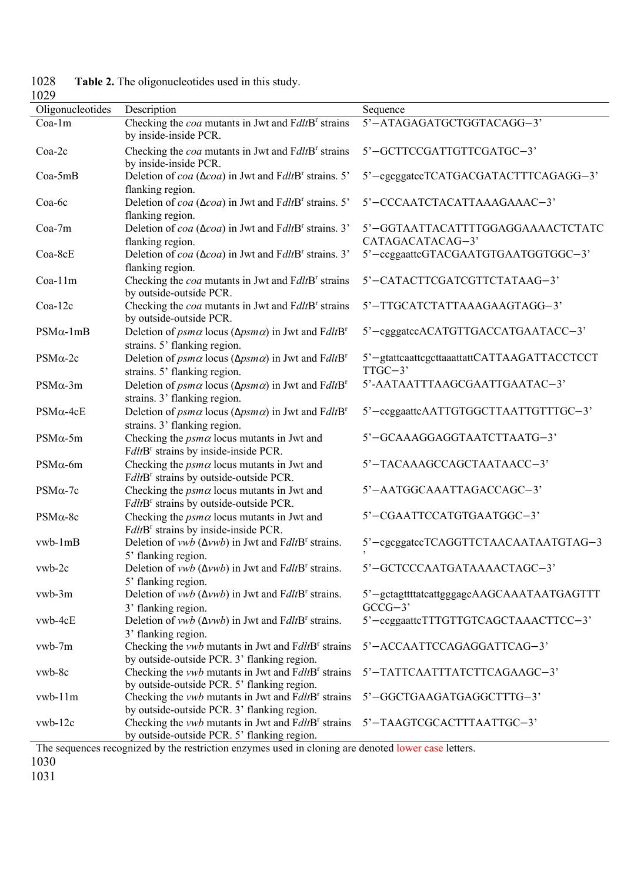| 1 V 4 2<br>Oligonucleotides | Description                                                                                                                    | Sequence                                                 |
|-----------------------------|--------------------------------------------------------------------------------------------------------------------------------|----------------------------------------------------------|
| Coa-1m                      | Checking the <i>coa</i> mutants in Jwt and FdltB <sup>r</sup> strains<br>by inside-inside PCR.                                 | 5'-ATAGAGATGCTGGTACAGG-3'                                |
| Coa-2c                      | Checking the <i>coa</i> mutants in Jwt and FdltB <sup>r</sup> strains<br>by inside-inside PCR.                                 | 5'-GCTTCCGATTGTTCGATGC-3'                                |
| Coa-5mB                     | Deletion of $coa$ ( $\Delta coa$ ) in Jwt and FdltB <sup>r</sup> strains. 5'<br>flanking region.                               | 5'-cgcggatccTCATGACGATACTTTCAGAGG-3'                     |
| Coa-6c                      | Deletion of $coa$ ( $\Delta coa$ ) in Jwt and FdltB <sup>r</sup> strains. 5'<br>flanking region.                               | 5'-CCCAATCTACATTAAAGAAAC-3'                              |
| Coa-7m                      | Deletion of $coa (\triangle coa)$ in Jwt and FdltB <sup>r</sup> strains. 3'<br>flanking region.                                | 5'-GGTAATTACATTTTGGAGGAAAACTCTATC<br>CATAGACATACAG-3'    |
| Coa-8cE                     | Deletion of $coa$ ( $\Delta coa$ ) in Jwt and FdltB <sup>r</sup> strains. 3'<br>flanking region.                               | 5'-ccggaattcGTACGAATGTGAATGGTGGC-3'                      |
| Coa-11m                     | Checking the coa mutants in Jwt and FdltB <sup>r</sup> strains<br>by outside-outside PCR.                                      | 5'-CATACTTCGATCGTTCTATAAG-3'                             |
| $Coa-12c$                   | Checking the coa mutants in Jwt and FdltB <sup>r</sup> strains<br>by outside-outside PCR.                                      | 5'-TTGCATCTATTAAAGAAGTAGG-3'                             |
| $PSM\alpha$ -1mB            | Deletion of $p_{\text{S}}$ had locus ( $\Delta p_{\text{S}}$ in Jwt and FdltB <sup>r</sup><br>strains. 5' flanking region.     | 5'-cgggatccACATGTTGACCATGAATACC-3'                       |
| $PSM\alpha-2c$              | Deletion of $p_{\text{S}}$ had locus ( $\Delta p_{\text{S}}$ ma) in Jwt and FdltB <sup>r</sup><br>strains. 5' flanking region. | 5'-gtattcaattcgcttaaattattCATTAAGATTACCTCCT<br>$TTGC-3'$ |
| $PSM\alpha-3m$              | Deletion of $p_{\text{S}}$ had locus ( $\Delta p_{\text{S}}$ in Jwt and FdltB <sup>r</sup><br>strains. 3' flanking region.     | 5'-AATAATTTAAGCGAATTGAATAC-3'                            |
| $PSM\alpha-4cE$             | Deletion of $p_{\text{S}}$ has locus ( $\Delta p_{\text{S}}$ in Jwt and FdltB <sup>r</sup><br>strains. 3' flanking region.     | 5'-ccggaattcAATTGTGGCTTAATTGTTTGC-3'                     |
| $PSM\alpha$ -5m             | Checking the $p_s$ m $\alpha$ locus mutants in Jwt and<br>FdltB <sup>r</sup> strains by inside-inside PCR.                     | 5'-GCAAAGGAGGTAATCTTAATG-3'                              |
| $PSM\alpha$ -6m             | Checking the $p_s$ m $\alpha$ locus mutants in Jwt and<br>FdltB <sup>r</sup> strains by outside-outside PCR.                   | 5'-TACAAAGCCAGCTAATAACC-3'                               |
| $PSM\alpha-7c$              | Checking the $p_s$ m $\alpha$ locus mutants in Jwt and<br>FdltB <sup>r</sup> strains by outside-outside PCR.                   | 5'-AATGGCAAATTAGACCAGC-3'                                |
| $PSM\alpha-8c$              | Checking the $p_s$ locus mutants in Jwt and<br>FdltB <sup>r</sup> strains by inside-inside PCR.                                | 5'-CGAATTCCATGTGAATGGC-3'                                |
| vwb-1mB                     | Deletion of vwb ( $\Delta$ vwb) in Jwt and FdltB <sup>r</sup> strains.<br>5' flanking region.                                  | 5'-cgcggatecTCAGGTTCTAACAATAATGTAG-3                     |
| vwb-2c                      | Deletion of vwb ( $\Delta$ vwb) in Jwt and FdltB <sup>r</sup> strains.<br>5' flanking region.                                  | 5'-GCTCCCAATGATAAAACTAGC-3'                              |
| vwb-3m                      | Deletion of <i>vwb</i> ( $\Delta vwb$ ) in Jwt and FdltB <sup>r</sup> strains.<br>3' flanking region.                          | 5'-gctagttttatcattgggagcAAGCAAATAATGAGTTT<br>$GCCG-3'$   |
| vwb-4cE                     | Deletion of vwb ( $\Delta$ vwb) in Jwt and FdltB <sup>r</sup> strains.<br>3' flanking region.                                  | 5'-ccggaattcTTTGTTGTCAGCTAAACTTCC-3'                     |
| vwb-7m                      | Checking the <i>vwb</i> mutants in Jwt and FdltB <sup>r</sup> strains<br>by outside-outside PCR. 3' flanking region.           | 5'-ACCAATTCCAGAGGATTCAG-3'                               |
| vwb-8c                      | Checking the <i>vwb</i> mutants in Jwt and FdltB <sup>r</sup> strains<br>by outside-outside PCR. 5' flanking region.           | 5'-TATTCAATTTATCTTCAGAAGC-3'                             |
| vwb-11m                     | Checking the <i>vwb</i> mutants in Jwt and FdltB <sup>r</sup> strains<br>by outside-outside PCR. 3' flanking region.           | 5'-GGCTGAAGATGAGGCTTTG-3'                                |
| $vwb-12c$                   | Checking the <i>vwb</i> mutants in Jwt and FdltB <sup>r</sup> strains<br>by outside-outside PCR. 5' flanking region.           | 5'-TAAGTCGCACTTTAATTGC-3'                                |
| T <sub>1</sub>              |                                                                                                                                |                                                          |

Table 2. The oligonucleotides used in this study. 1028<br>1029

The sequences recognized by the restriction enzymes used in cloning are denoted lower case letters. 1030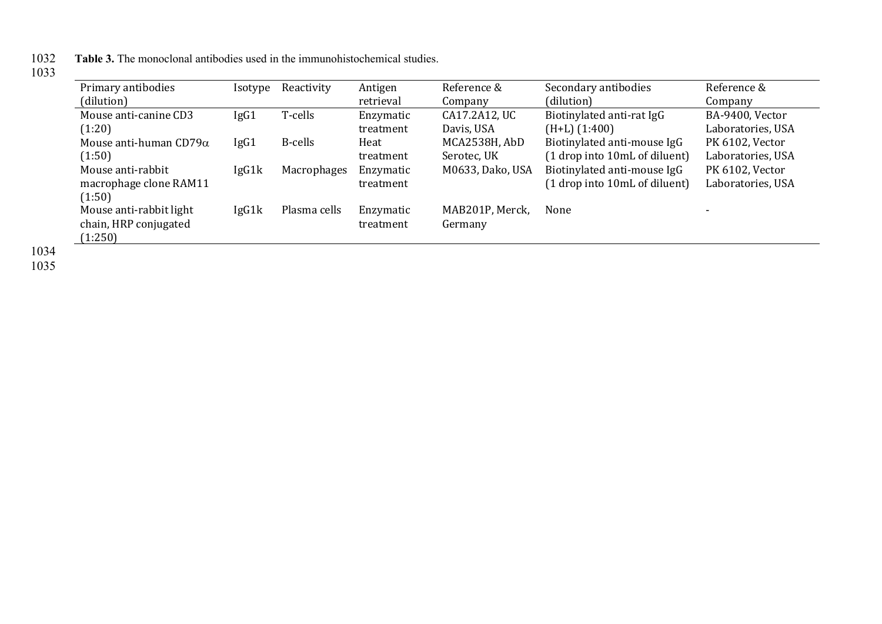1032 **Table 3.** The monoclonal antibodies used in the immunohistochemical studies.

| Primary antibodies            | Isotype | Reactivity         | Antigen   | Reference &      | Secondary antibodies          | Reference &              |
|-------------------------------|---------|--------------------|-----------|------------------|-------------------------------|--------------------------|
| (dilution)                    |         |                    | retrieval | Company          | (dilution)                    | Company                  |
| Mouse anti-canine CD3         | IgG1    | T-cells            | Enzymatic | CA17.2A12, UC    | Biotinylated anti-rat IgG     | BA-9400, Vector          |
| (1:20)                        |         |                    | treatment | Davis, USA       | $(H+L)$ $(1:400)$             | Laboratories, USA        |
| Mouse anti-human $CD79\alpha$ | IgG1    | B-cells            | Heat      | MCA2538H, AbD    | Biotinylated anti-mouse IgG   | PK 6102, Vector          |
| (1:50)                        |         |                    | treatment | Serotec, UK      | (1 drop into 10mL of diluent) | Laboratories, USA        |
| Mouse anti-rabbit             | IgG1k   | <b>Macrophages</b> | Enzymatic | M0633, Dako, USA | Biotinylated anti-mouse IgG   | PK 6102, Vector          |
| macrophage clone RAM11        |         |                    | treatment |                  | (1 drop into 10mL of diluent) | Laboratories, USA        |
| (1:50)                        |         |                    |           |                  |                               |                          |
| Mouse anti-rabbit light       | IgG1k   | Plasma cells       | Enzymatic | MAB201P, Merck,  | None                          | $\overline{\phantom{0}}$ |
| chain, HRP conjugated         |         |                    | treatment | Germany          |                               |                          |
| (1:250)                       |         |                    |           |                  |                               |                          |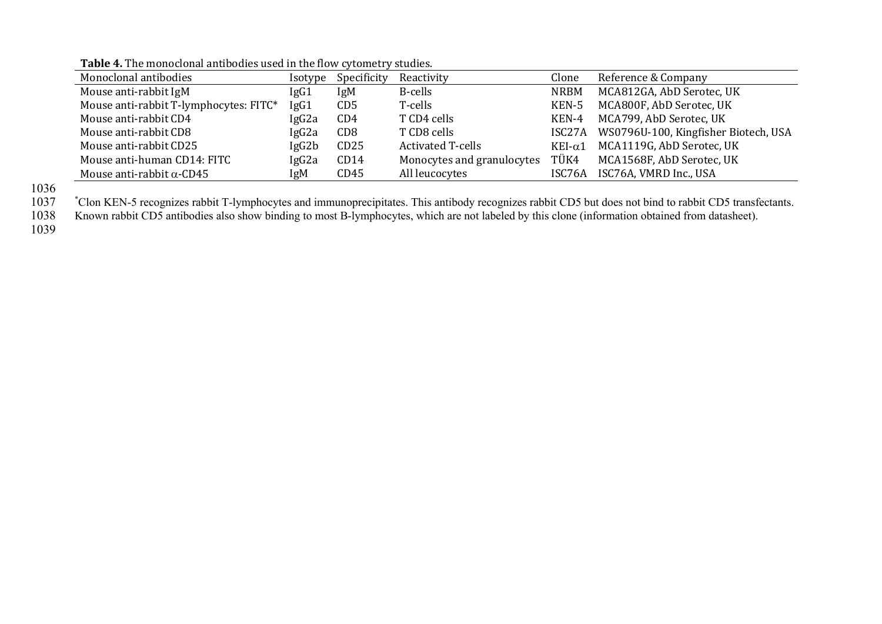| Monoclonal antibodies                  | <i>sotype</i>     | Specificity                 | Reactivity                 | Clone           | Reference & Company                         |
|----------------------------------------|-------------------|-----------------------------|----------------------------|-----------------|---------------------------------------------|
| Mouse anti-rabbit IgM                  | IgG1              | IgM                         | B-cells                    | <b>NRBM</b>     | MCA812GA, AbD Serotec, UK                   |
| Mouse anti-rabbit T-lymphocytes: FITC* | IgG1              | C <sub>D</sub> <sub>5</sub> | T-cells                    | KEN-5           | MCA800F, AbD Serotec, UK                    |
| Mouse anti-rabbit CD4                  | IgG2a             | CD4                         | T CD4 cells                | KEN-4           | MCA799, AbD Serotec, UK                     |
| Mouse anti-rabbit CD8                  | IgG2a             | CD <sub>8</sub>             | T CD8 cells                |                 | ISC27A WS0796U-100, Kingfisher Biotech, USA |
| Mouse anti-rabbit CD25                 | lgG2b             | CD25                        | <b>Activated T-cells</b>   | KEI- $\alpha$ 1 | MCA1119G, AbD Serotec, UK                   |
| Mouse anti-human CD14: FITC            | IgG <sub>2a</sub> | CD14                        | Monocytes and granulocytes | TÜK4            | MCA1568F, AbD Serotec, UK                   |
| Mouse anti-rabbit $\alpha$ -CD45       | IgM               | CD45                        | All leucocytes             | ISC76A          | ISC76A, VMRD Inc., USA                      |

**Table 4.** The monoclonal antibodies used in the flow cytometry studies.

1036<br>1037

1037 \*Clon KEN-5 recognizes rabbit T-lymphocytes and immunoprecipitates. This antibody recognizes rabbit CD5 but does not bind to rabbit CD5 transfectants.

1038 Known rabbit CD5 antibodies also show binding to most B-lymphocytes, which are not labeled by this clone (information obtained from datasheet).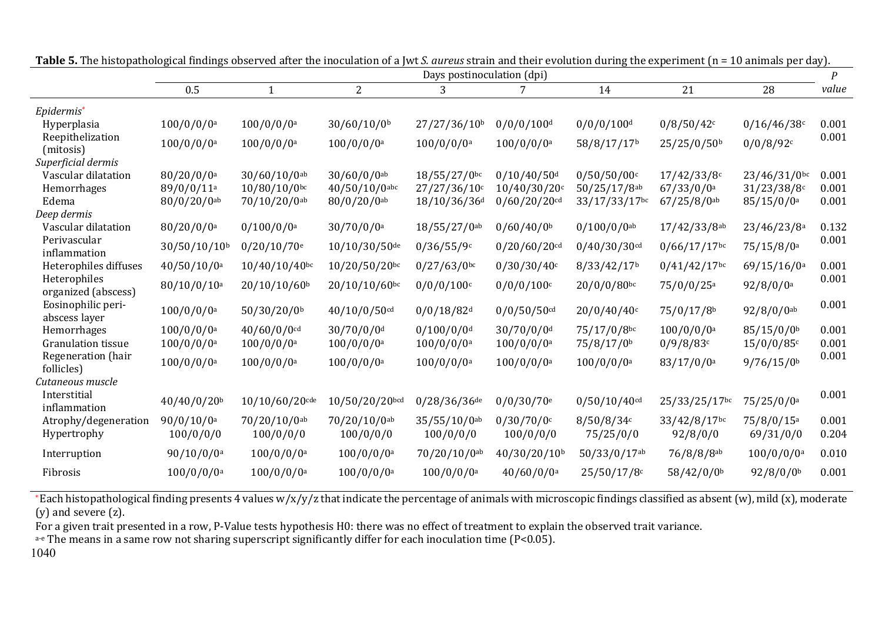|                                     | Days postinoculation (dpi) |                           |                           |                          |                           |                           |                          | $\boldsymbol{P}$         |       |
|-------------------------------------|----------------------------|---------------------------|---------------------------|--------------------------|---------------------------|---------------------------|--------------------------|--------------------------|-------|
|                                     | 0.5                        | $\mathbf{1}$              | $\overline{2}$            | 3                        | 7                         | 14                        | 21                       | 28                       | value |
| Epidermis*                          |                            |                           |                           |                          |                           |                           |                          |                          |       |
| Hyperplasia                         | $100/0/0/0$ <sup>a</sup>   | $100/0/0/0$ <sup>a</sup>  | 30/60/10/0 <sup>b</sup>   | 27/27/36/10b             | $0/0/0/100$ <sup>d</sup>  | $0/0/0/100$ <sup>d</sup>  | 0/8/50/42c               | 0/16/46/38c              | 0.001 |
| Reepithelization<br>(mitosis)       | $100/0/0/0$ <sup>a</sup>   | $100/0/0/0$ <sup>a</sup>  | $100/0/0/0$ <sup>a</sup>  | $100/0/0/0$ <sup>a</sup> | $100/0/0/0$ <sup>a</sup>  | 58/8/17/17b               | 25/25/0/50b              | 0/0/8/92c                | 0.001 |
| Superficial dermis                  |                            |                           |                           |                          |                           |                           |                          |                          |       |
| Vascular dilatation                 | $80/20/0/0$ <sup>a</sup>   | $30/60/10/0$ ab           | $30/60/0/0$ <sup>ab</sup> | $18/55/27/0$ bc          | $0/10/40/50$ <sup>d</sup> | 0/50/50/00c               | 17/42/33/8c              | $23/46/31/0$ bc          | 0.001 |
| Hemorrhages                         | 89/0/0/11a                 | $10/80/10/0$ bc           | $40/50/10/0$ abc          | $27/27/36/10$ c          | $10/40/30/20$ c           | 50/25/17/8ab              | 67/33/0/0a               | 31/23/38/8c              | 0.001 |
| Edema                               | $80/0/20/0$ ab             | 70/10/20/0ab              | $80/0/20/0$ ab            | 18/10/36/36 <sup>d</sup> | $0/60/20/20$ cd           | 33/17/33/17bc             | $67/25/8/0$ ab           | 85/15/0/0a               | 0.001 |
| Deep dermis<br>Vascular dilatation  | $80/20/0/0$ <sup>a</sup>   | $0/100/0/0$ <sup>a</sup>  | $30/70/0/0$ <sup>a</sup>  | 18/55/27/0 <sup>ab</sup> | 0/60/40/0 <sup>b</sup>    |                           | 17/42/33/8ab             | 23/46/23/8 <sup>a</sup>  | 0.132 |
| Perivascular                        |                            |                           |                           |                          |                           | $0/100/0/0$ <sup>ab</sup> |                          |                          | 0.001 |
| inflammation                        | 30/50/10/10 <sup>b</sup>   | $0/20/10/70$ <sup>e</sup> | 10/10/30/50de             | 0/36/55/9c               | $0/20/60/20$ cd           | $0/40/30/30$ cd           | $0/66/17/17$ bc          | 75/15/8/0a               |       |
| Heterophiles diffuses               | 40/50/10/0 <sup>a</sup>    | $10/40/10/40$ bc          | 10/20/50/20bc             | $0/27/63/0$ bc           | 0/30/30/40c               | 8/33/42/17b               | $0/41/42/17$ bc          | 69/15/16/0a              | 0.001 |
| Heterophiles<br>organized (abscess) | 80/10/0/10 <sup>a</sup>    | 20/10/10/60 <sup>b</sup>  | 20/10/10/60bc             | 0/0/0/100c               | $0/0/0/100$ c             | 20/0/0/80bc               | 75/0/0/25 <sup>a</sup>   | $92/8/0/0$ <sup>a</sup>  | 0.001 |
| Eosinophilic peri-<br>abscess layer | $100/0/0/0$ <sup>a</sup>   | 50/30/20/0b               | 40/10/0/50cd              | $0/0/18/82$ d            | $0/0/50/50$ cd            | 20/0/40/40c               | 75/0/17/8b               | $92/8/0/0$ ab            | 0.001 |
| Hemorrhages                         | $100/0/0/0$ <sup>a</sup>   | $40/60/0/0$ cd            | $30/70/0/0$ <sup>d</sup>  | $0/100/0/0$ <sup>d</sup> | 30/70/0/0 <sup>d</sup>    | 75/17/0/8bc               | $100/0/0/0$ <sup>a</sup> | 85/15/0/0b               | 0.001 |
| <b>Granulation tissue</b>           | $100/0/0/0$ <sup>a</sup>   | $100/0/0/0$ <sup>a</sup>  | $100/0/0/0$ <sup>a</sup>  | $100/0/0/0$ <sup>a</sup> | $100/0/0/0$ <sup>a</sup>  | 75/8/17/0 <sup>b</sup>    | 0/9/8/83c                | 15/0/0/85c               | 0.001 |
| Regeneration (hair<br>follicles)    | $100/0/0/0$ <sup>a</sup>   | $100/0/0/0$ <sup>a</sup>  | $100/0/0/0$ <sup>a</sup>  | $100/0/0/0$ <sup>a</sup> | $100/0/0/0$ <sup>a</sup>  | $100/0/0/0$ <sup>a</sup>  | 83/17/0/0a               | 9/76/15/0 <sup>b</sup>   | 0.001 |
| Cutaneous muscle                    |                            |                           |                           |                          |                           |                           |                          |                          |       |
| Interstitial<br>inflammation        | 40/40/0/20b                | $10/10/60/20$ cde         | 10/50/20/20bcd            | 0/28/36/36 <sup>de</sup> | $0/0/30/70$ <sup>e</sup>  | $0/50/10/40$ cd           | 25/33/25/17bc            | 75/25/0/0 <sup>a</sup>   | 0.001 |
| Atrophy/degeneration                | $90/0/10/0$ a              | 70/20/10/0ab              | 70/20/10/0ab              | 35/55/10/0ab             | 0/30/70/0c                | 8/50/8/34c                | 33/42/8/17bc             | 75/8/0/15 <sup>a</sup>   | 0.001 |
| Hypertrophy                         | 100/0/0/0                  | 100/0/0/0                 | 100/0/0/0                 | 100/0/0/0                | 100/0/0/0                 | 75/25/0/0                 | 92/8/0/0                 | 69/31/0/0                | 0.204 |
| Interruption                        | 90/10/0/0a                 | $100/0/0/0$ <sup>a</sup>  | $100/0/0/0$ <sup>a</sup>  | 70/20/10/0ab             | 40/30/20/10 <sup>b</sup>  | 50/33/0/17ab              | 76/8/8/8ab               | $100/0/0/0$ <sup>a</sup> | 0.010 |
| Fibrosis                            | $100/0/0/0$ <sup>a</sup>   | $100/0/0/0$ <sup>a</sup>  | $100/0/0/0$ <sup>a</sup>  | $100/0/0/0$ <sup>a</sup> | $40/60/0/0$ <sup>a</sup>  | 25/50/17/8c               | 58/42/0/0b               | 92/8/0/0                 | 0.001 |
|                                     |                            |                           |                           |                          |                           |                           |                          |                          |       |

**Table 5.** The histopathological findings observed after the inoculation of a Jwt *S. aureus* strain and their evolution during the experiment (n = 10 animals per day).

\*Each histopathological finding presents 4 values w/x/y/z that indicate the percentage of animals with microscopic findings classified as absent (w), mild (x), moderate  $(y)$  and severe  $(z)$ .

For a given trait presented in a row, P-Value tests hypothesis H0: there was no effect of treatment to explain the observed trait variance.

a-e The means in a same row not sharing superscript significantly differ for each inoculation time (P<0.05).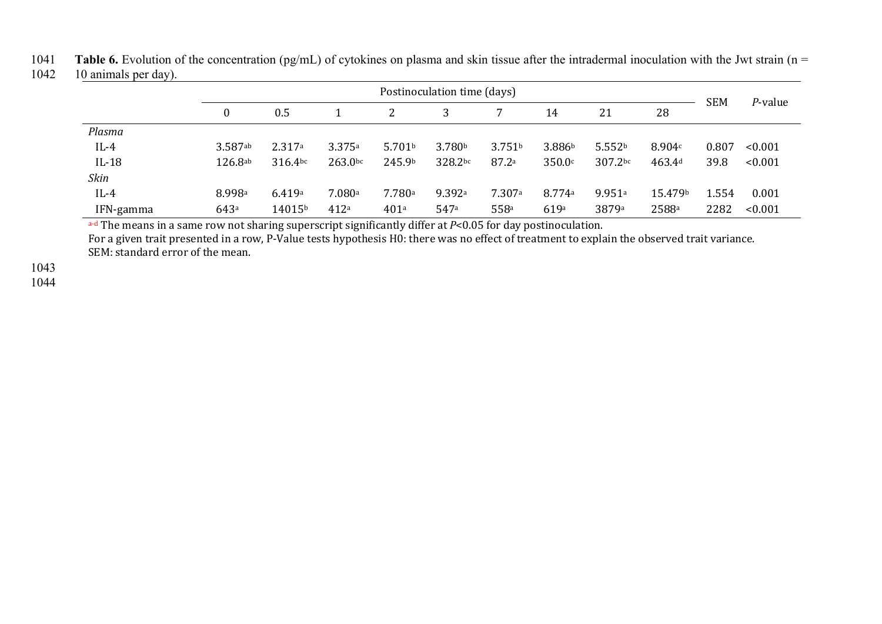1041 **Table 6.** Evolution of the concentration (pg/mL) of cytokines on plasma and skin tissue after the intradermal inoculation with the Jwt strain (n = 1042 10 animals per day).

| 1042 | 10 animals per day). |  |
|------|----------------------|--|
|------|----------------------|--|

|           | Postinoculation time (days) |            |         |                    |                    |                    |                    | <b>SEM</b>         |         |       |         |
|-----------|-----------------------------|------------|---------|--------------------|--------------------|--------------------|--------------------|--------------------|---------|-------|---------|
|           |                             | 0.5        |         |                    |                    |                    | 14                 | 21                 | 28      |       | P-value |
| Plasma    |                             |            |         |                    |                    |                    |                    |                    |         |       |         |
| $IL-4$    | $3.587$ ab                  | 2.317a     | 3.375a  | 5.701 <sup>b</sup> | 3.780 <sup>b</sup> | 3.751 <sup>b</sup> | 3.886 <sup>b</sup> | 5.552 <sup>b</sup> | 8.904c  | 0.807 | < 0.001 |
| $IL-18$   | 126.8a <sub>b</sub>         | $316.4$ bc | 263.0bc | 245.9b             | 328.2bc            | 87.2a              | 350.0c             | 307.2bc            | 463.4d  | 39.8  | < 0.001 |
| Skin      |                             |            |         |                    |                    |                    |                    |                    |         |       |         |
| $IL-4$    | 8.998 <sup>a</sup>          | 6.419a     | 7.080a  | 7.780a             | 9.392a             | 7.307a             | 8.774a             | 9.951a             | 15.479b | 1.554 | 0.001   |
| IFN-gamma | 643ª                        | 14015b     | 412a    | 401a               | 547a               | 558 <sup>a</sup>   | 619a               | 3879a              | 2588a   | 2282  | < 0.001 |

a-d The means in a same row not sharing superscript significantly differ at *P*<0.05 for day postinoculation.

For a given trait presented in a row, P-Value tests hypothesis H0: there was no effect of treatment to explain the observed trait variance. SEM: standard error of the mean.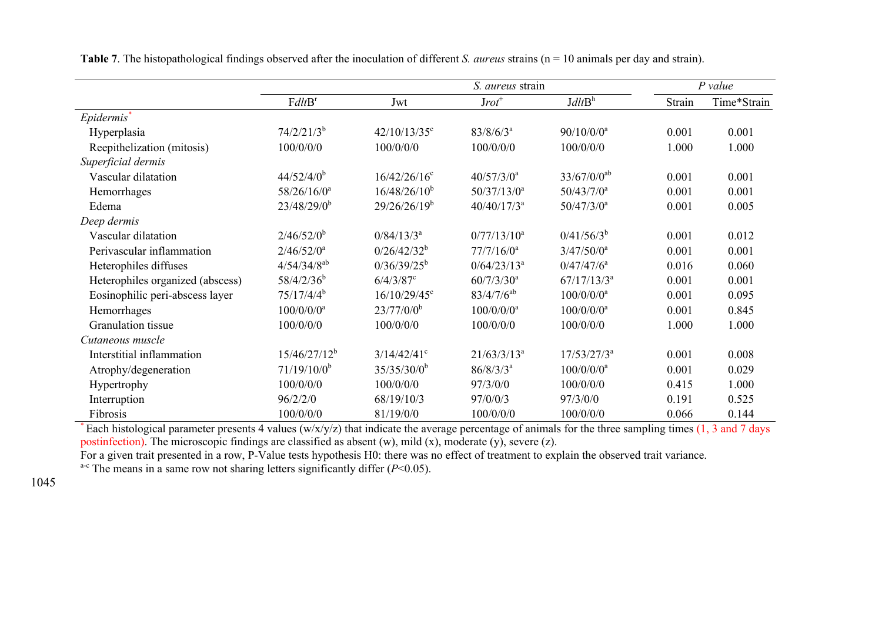|                                  | S. aureus strain         |                   |                          |                          |        | $P$ value   |
|----------------------------------|--------------------------|-------------------|--------------------------|--------------------------|--------|-------------|
|                                  | FdltB <sup>r</sup>       | Jwt               | $Jrot^+$                 | J dl t B <sup>h</sup>    | Strain | Time*Strain |
| Epidermis*                       |                          |                   |                          |                          |        |             |
| Hyperplasia                      | $74/2/21/3^b$            | $42/10/13/35$ °   | $83/8/6/3^a$             | $90/10/0/0$ <sup>a</sup> | 0.001  | 0.001       |
| Reepithelization (mitosis)       | 100/0/0/0                | 100/0/0/0         | 100/0/0/0                | 100/0/0/0                | 1.000  | 1.000       |
| Superficial dermis               |                          |                   |                          |                          |        |             |
| Vascular dilatation              | $44/52/4/0^b$            | $16/42/26/16$ °   | $40/57/3/0^a$            | $33/67/0/0^{ab}$         | 0.001  | 0.001       |
| Hemorrhages                      | $58/26/16/0^a$           | $16/48/26/10^{b}$ | $50/37/13/0^a$           | $50/43/7/0^a$            | 0.001  | 0.001       |
| Edema                            | $23/48/29/0^b$           | $29/26/26/19^b$   | $40/40/17/3^a$           | $50/47/3/0^a$            | 0.001  | 0.005       |
| Deep dermis                      |                          |                   |                          |                          |        |             |
| Vascular dilatation              | $2/46/52/0^{b}$          | $0/84/13/3^a$     | $0/77/13/10^a$           | $0/41/56/3^{b}$          | 0.001  | 0.012       |
| Perivascular inflammation        | $2/46/52/0^a$            | $0/26/42/32^{b}$  | $77/7/16/0^a$            | $3/47/50/0^a$            | 0.001  | 0.001       |
| Heterophiles diffuses            | $4/54/34/8^{ab}$         | $0/36/39/25^b$    | $0/64/23/13^a$           | $0/47/47/6^a$            | 0.016  | 0.060       |
| Heterophiles organized (abscess) | $58/4/2/36^b$            | $6/4/3/87$ °      | $60/7/3/30$ <sup>a</sup> | $67/17/13/3^a$           | 0.001  | 0.001       |
| Eosinophilic peri-abscess layer  | $75/17/4/4^b$            | $16/10/29/45$ °   | $83/4/7/6^{ab}$          | $100/0/0/0$ <sup>a</sup> | 0.001  | 0.095       |
| Hemorrhages                      | $100/0/0/0$ <sup>a</sup> | $23/77/0/0^b$     | $100/0/0/0$ <sup>a</sup> | $100/0/0/0$ <sup>a</sup> | 0.001  | 0.845       |
| Granulation tissue               | 100/0/0/0                | 100/0/0/0         | 100/0/0/0                | 100/0/0/0                | 1.000  | 1.000       |
| Cutaneous muscle                 |                          |                   |                          |                          |        |             |
| Interstitial inflammation        | $15/46/27/12^b$          | $3/14/42/41$ °    | $21/63/3/13^a$           | $17/53/27/3^a$           | 0.001  | 0.008       |
| Atrophy/degeneration             | $71/19/10/0^b$           | $35/35/30/0^b$    | $86/8/3/3^{a}$           | $100/0/0/0$ <sup>a</sup> | 0.001  | 0.029       |
| Hypertrophy                      | 100/0/0/0                | 100/0/0/0         | 97/3/0/0                 | 100/0/0/0                | 0.415  | 1.000       |
| Interruption                     | 96/2/2/0                 | 68/19/10/3        | 97/0/0/3                 | 97/3/0/0                 | 0.191  | 0.525       |
| Fibrosis                         | 100/0/0/0                | 81/19/0/0         | 100/0/0/0                | 100/0/0/0                | 0.066  | 0.144       |

**Table 7**. The histopathological findings observed after the inoculation of different *S. aureus* strains (n = 10 animals per day and strain).

\* Each histological parameter presents 4 values (w/x/y/z) that indicate the average percentage of animals for the three sampling times (1, 3 and 7 days postinfection). The microscopic findings are classified as absent (w), mild (x), moderate (y), severe (z).

For a given trait presented in a row, P-Value tests hypothesis H0: there was no effect of treatment to explain the observed trait variance. <sup>a-c</sup> The means in a same row not sharing letters significantly differ  $(P<0.05)$ .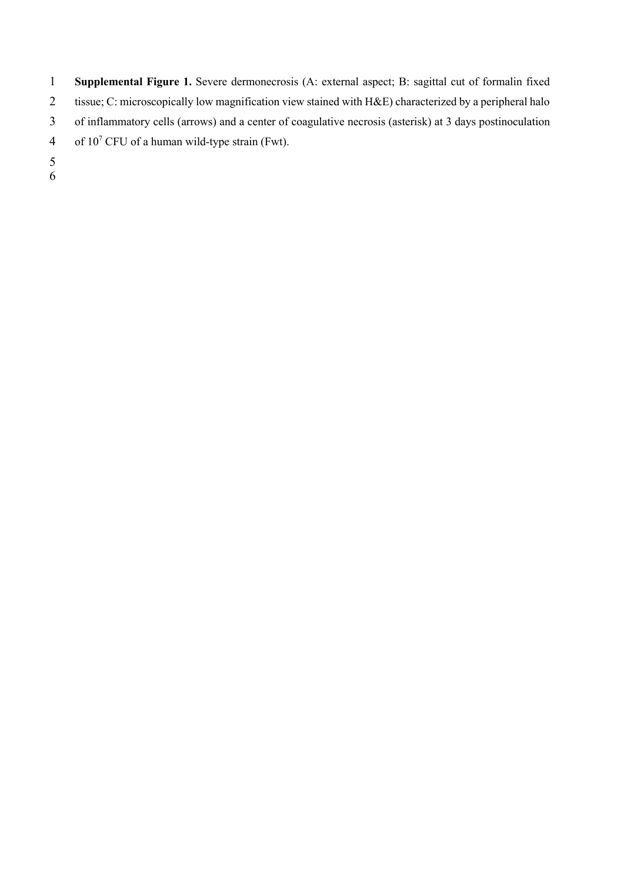**Supplemental Figure 1.** Severe dermonecrosis (A: external aspect; B: sagittal cut of formalin fixed tissue; C: microscopically low magnification view stained with H&E) characterized by a peripheral halo of inflammatory cells (arrows) and a center of coagulative necrosis (asterisk) at 3 days postinoculation 4 of  $10^7$  CFU of a human wild-type strain (Fwt).